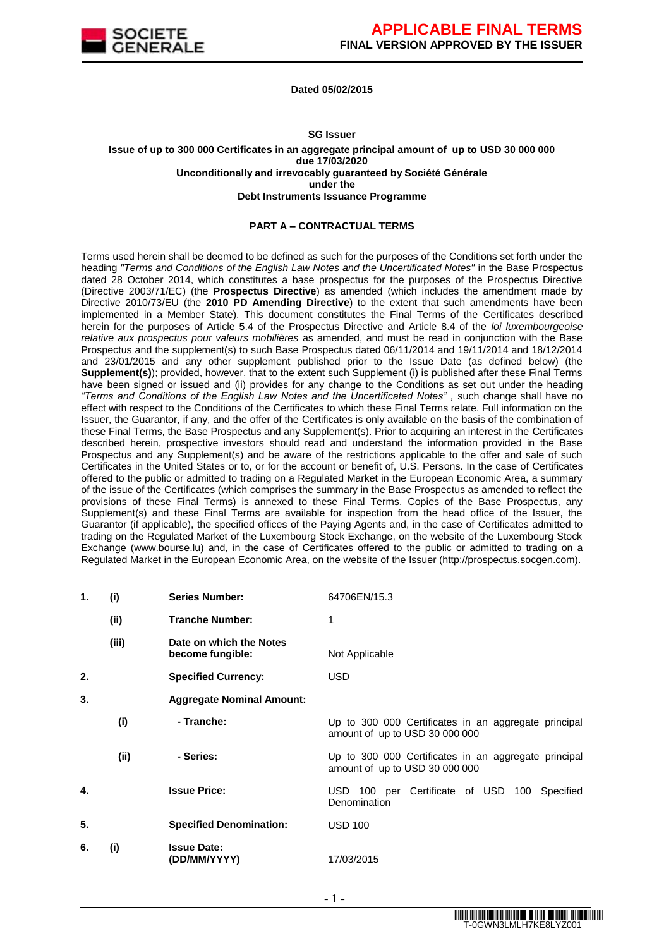

#### **Dated 05/02/2015**

#### **SG Issuer**

**Issue of up to 300 000 Certificates in an aggregate principal amount of up to USD 30 000 000 due 17/03/2020 Unconditionally and irrevocably guaranteed by Société Générale under the Debt Instruments Issuance Programme**

#### **PART A – CONTRACTUAL TERMS**

Terms used herein shall be deemed to be defined as such for the purposes of the Conditions set forth under the heading *"Terms and Conditions of the English Law Notes and the Uncertificated Notes"* in the Base Prospectus dated 28 October 2014, which constitutes a base prospectus for the purposes of the Prospectus Directive (Directive 2003/71/EC) (the **Prospectus Directive**) as amended (which includes the amendment made by Directive 2010/73/EU (the **2010 PD Amending Directive**) to the extent that such amendments have been implemented in a Member State). This document constitutes the Final Terms of the Certificates described herein for the purposes of Article 5.4 of the Prospectus Directive and Article 8.4 of the *loi luxembourgeoise relative aux prospectus pour valeurs mobilières* as amended, and must be read in conjunction with the Base Prospectus and the supplement(s) to such Base Prospectus dated 06/11/2014 and 19/11/2014 and 18/12/2014 and 23/01/2015 and any other supplement published prior to the Issue Date (as defined below) (the **Supplement(s)**); provided, however, that to the extent such Supplement (i) is published after these Final Terms have been signed or issued and (ii) provides for any change to the Conditions as set out under the heading *"Terms and Conditions of the English Law Notes and the Uncertificated Notes" ,* such change shall have no effect with respect to the Conditions of the Certificates to which these Final Terms relate. Full information on the Issuer, the Guarantor, if any, and the offer of the Certificates is only available on the basis of the combination of these Final Terms, the Base Prospectus and any Supplement(s). Prior to acquiring an interest in the Certificates described herein, prospective investors should read and understand the information provided in the Base Prospectus and any Supplement(s) and be aware of the restrictions applicable to the offer and sale of such Certificates in the United States or to, or for the account or benefit of, U.S. Persons. In the case of Certificates offered to the public or admitted to trading on a Regulated Market in the European Economic Area, a summary of the issue of the Certificates (which comprises the summary in the Base Prospectus as amended to reflect the provisions of these Final Terms) is annexed to these Final Terms. Copies of the Base Prospectus, any Supplement(s) and these Final Terms are available for inspection from the head office of the Issuer, the Guarantor (if applicable), the specified offices of the Paying Agents and, in the case of Certificates admitted to trading on the Regulated Market of the Luxembourg Stock Exchange, on the website of the Luxembourg Stock Exchange (www.bourse.lu) and, in the case of Certificates offered to the public or admitted to trading on a Regulated Market in the European Economic Area, on the website of the Issuer (http://prospectus.socgen.com).

| 1. | (i)   | <b>Series Number:</b>                       | 64706EN/15.3                                                                           |
|----|-------|---------------------------------------------|----------------------------------------------------------------------------------------|
|    | (ii)  | <b>Tranche Number:</b>                      | 1                                                                                      |
|    | (iii) | Date on which the Notes<br>become fungible: | Not Applicable                                                                         |
| 2. |       | <b>Specified Currency:</b>                  | <b>USD</b>                                                                             |
| 3. |       | <b>Aggregate Nominal Amount:</b>            |                                                                                        |
|    | (i)   | - Tranche:                                  | Up to 300 000 Certificates in an aggregate principal<br>amount of up to USD 30 000 000 |
|    | (ii)  | - Series:                                   | Up to 300 000 Certificates in an aggregate principal<br>amount of up to USD 30 000 000 |
| 4. |       | <b>Issue Price:</b>                         | USD 100 per Certificate of USD 100 Specified<br>Denomination                           |
| 5. |       | <b>Specified Denomination:</b>              | <b>USD 100</b>                                                                         |
| 6. | (i)   | <b>Issue Date:</b><br>(DD/MM/YYYY)          | 17/03/2015                                                                             |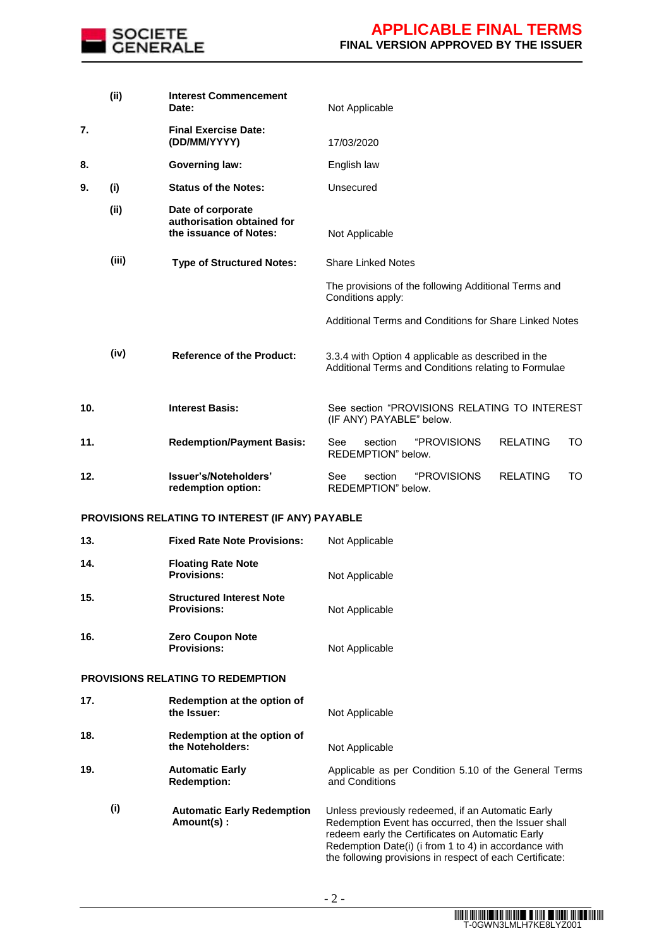

|     | (ii)  | <b>Interest Commencement</b><br>Date:                                     | Not Applicable                                                                                                                                                                                                                                                                     |
|-----|-------|---------------------------------------------------------------------------|------------------------------------------------------------------------------------------------------------------------------------------------------------------------------------------------------------------------------------------------------------------------------------|
| 7.  |       | <b>Final Exercise Date:</b><br>(DD/MM/YYYY)                               | 17/03/2020                                                                                                                                                                                                                                                                         |
| 8.  |       | <b>Governing law:</b>                                                     | English law                                                                                                                                                                                                                                                                        |
| 9.  | (i)   | <b>Status of the Notes:</b>                                               | Unsecured                                                                                                                                                                                                                                                                          |
|     | (ii)  | Date of corporate<br>authorisation obtained for<br>the issuance of Notes: | Not Applicable                                                                                                                                                                                                                                                                     |
|     | (iii) | <b>Type of Structured Notes:</b>                                          | <b>Share Linked Notes</b>                                                                                                                                                                                                                                                          |
|     |       |                                                                           | The provisions of the following Additional Terms and<br>Conditions apply:                                                                                                                                                                                                          |
|     |       |                                                                           | Additional Terms and Conditions for Share Linked Notes                                                                                                                                                                                                                             |
|     | (iv)  | <b>Reference of the Product:</b>                                          | 3.3.4 with Option 4 applicable as described in the<br>Additional Terms and Conditions relating to Formulae                                                                                                                                                                         |
| 10. |       | <b>Interest Basis:</b>                                                    | See section "PROVISIONS RELATING TO INTEREST<br>(IF ANY) PAYABLE" below.                                                                                                                                                                                                           |
| 11. |       | <b>Redemption/Payment Basis:</b>                                          | "PROVISIONS<br><b>RELATING</b><br>See<br>section<br>TO<br>REDEMPTION" below.                                                                                                                                                                                                       |
| 12. |       | Issuer's/Noteholders'<br>redemption option:                               | section<br><i><b>"PROVISIONS</b></i><br><b>RELATING</b><br>TO<br>See<br>REDEMPTION" below.                                                                                                                                                                                         |
|     |       | PROVISIONS RELATING TO INTEREST (IF ANY) PAYABLE                          |                                                                                                                                                                                                                                                                                    |
| 13. |       | <b>Fixed Rate Note Provisions:</b>                                        | Not Applicable                                                                                                                                                                                                                                                                     |
| 14. |       | <b>Floating Rate Note</b><br><b>Provisions:</b>                           | Not Applicable                                                                                                                                                                                                                                                                     |
| 15. |       | <b>Structured Interest Note</b><br><b>Provisions:</b>                     | Not Applicable                                                                                                                                                                                                                                                                     |
| 16. |       | <b>Zero Coupon Note</b><br><b>Provisions:</b>                             | Not Applicable                                                                                                                                                                                                                                                                     |
|     |       | <b>PROVISIONS RELATING TO REDEMPTION</b>                                  |                                                                                                                                                                                                                                                                                    |
| 17. |       | Redemption at the option of<br>the Issuer:                                | Not Applicable                                                                                                                                                                                                                                                                     |
| 18. |       | Redemption at the option of<br>the Noteholders:                           | Not Applicable                                                                                                                                                                                                                                                                     |
| 19. |       | <b>Automatic Early</b><br><b>Redemption:</b>                              | Applicable as per Condition 5.10 of the General Terms<br>and Conditions                                                                                                                                                                                                            |
|     | (i)   | <b>Automatic Early Redemption</b><br>Amount(s):                           | Unless previously redeemed, if an Automatic Early<br>Redemption Event has occurred, then the Issuer shall<br>redeem early the Certificates on Automatic Early<br>Redemption Date(i) (i from 1 to 4) in accordance with<br>the following provisions in respect of each Certificate: |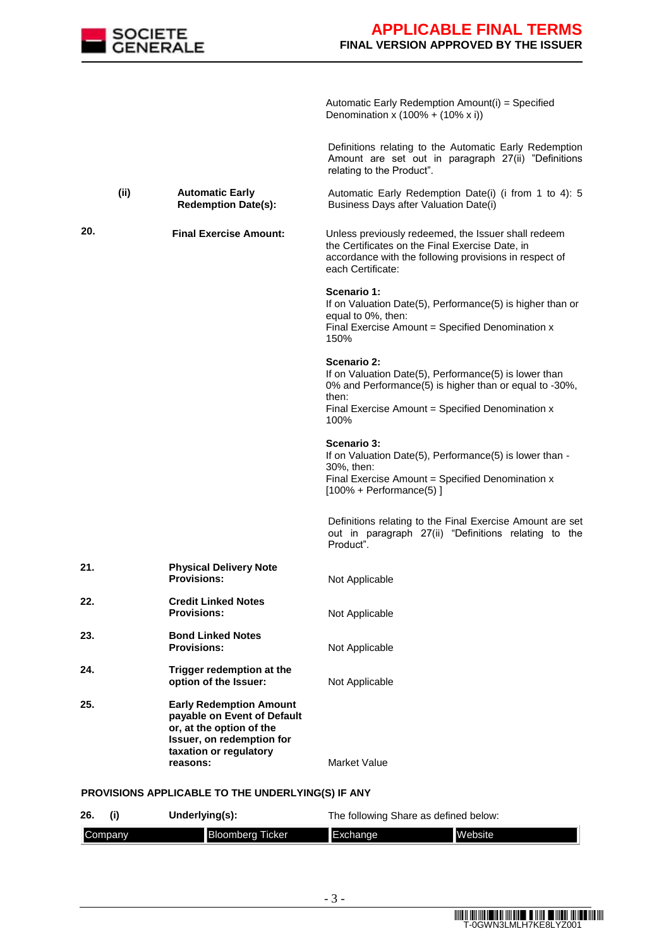

Automatic Early Redemption Amount(i) = Specified Denomination x  $(100% + (10% x i))$ 

Definitions relating to the Automatic Early Redemption Amount are set out in paragraph 27(ii) "Definitions relating to the Product".

**(ii) Automatic Early Redemption Date(s):** Automatic Early Redemption Date(i) (i from 1 to 4): 5 Business Days after Valuation Date(i)

**20. Final Exercise Amount:** Unless previously redeemed, the Issuer shall redeem the Certificates on the Final Exercise Date, in accordance with the following provisions in respect of each Certificate: **Scenario 1:**  If on Valuation Date(5), Performance(5) is higher than or equal to 0%, then:

Final Exercise Amount  $=$  Specified Denomination  $x$ 150% **Scenario 2:** 

If on Valuation Date(5), Performance(5) is lower than 0% and Performance(5) is higher than or equal to -30%, then: Final Exercise Amount = Specified Denomination  $x$ 100%

#### **Scenario 3:**

If on Valuation Date(5), Performance(5) is lower than - 30%, then: Final Exercise Amount = Specified Denomination  $x$  $[100\% +$  Performance(5) ]

Definitions relating to the Final Exercise Amount are set out in paragraph 27(ii) "Definitions relating to the Product".

| 21. | <b>Physical Delivery Note</b><br><b>Provisions:</b>                                                                                              | Not Applicable |
|-----|--------------------------------------------------------------------------------------------------------------------------------------------------|----------------|
| 22. | <b>Credit Linked Notes</b><br><b>Provisions:</b>                                                                                                 | Not Applicable |
| 23. | <b>Bond Linked Notes</b><br><b>Provisions:</b>                                                                                                   | Not Applicable |
| 24. | Trigger redemption at the<br>option of the Issuer:                                                                                               | Not Applicable |
| 25. | <b>Early Redemption Amount</b><br>payable on Event of Default<br>or, at the option of the<br>Issuer, on redemption for<br>taxation or regulatory |                |

**reasons:** Market Value

#### **PROVISIONS APPLICABLE TO THE UNDERLYING(S) IF ANY**

| 26.            | Underlying(s):          | The following Share as defined below: |                |
|----------------|-------------------------|---------------------------------------|----------------|
| <b>Company</b> | <b>Bloomberg Ticker</b> | <b>I</b> Exchange                     | <b>Website</b> |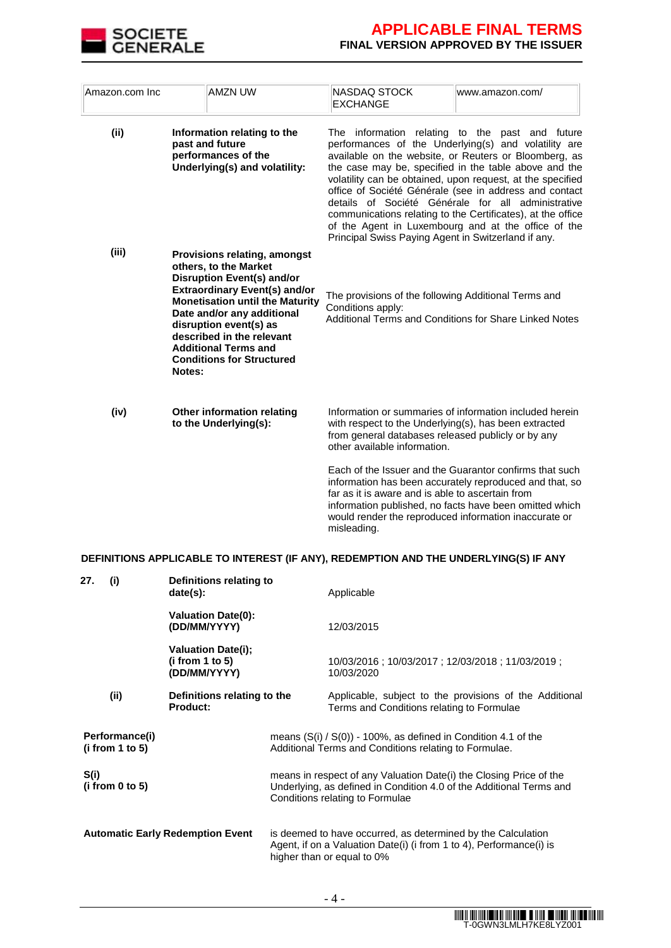

| Amazon.com Inc | <b>AMZN UW</b>                                                                                                                                                                                                                                                                                                                                        | NASDAQ STOCK<br><b>EXCHANGE</b>                                                                                                                                                                                                                | www.amazon.com/                                                                                                                                                                                                                                                                                                                                                                                                                                                                                                               |
|----------------|-------------------------------------------------------------------------------------------------------------------------------------------------------------------------------------------------------------------------------------------------------------------------------------------------------------------------------------------------------|------------------------------------------------------------------------------------------------------------------------------------------------------------------------------------------------------------------------------------------------|-------------------------------------------------------------------------------------------------------------------------------------------------------------------------------------------------------------------------------------------------------------------------------------------------------------------------------------------------------------------------------------------------------------------------------------------------------------------------------------------------------------------------------|
| (ii)           | Information relating to the<br>past and future<br>performances of the<br>Underlying(s) and volatility:                                                                                                                                                                                                                                                | Principal Swiss Paying Agent in Switzerland if any.                                                                                                                                                                                            | The information relating to the past and future<br>performances of the Underlying(s) and volatility are<br>available on the website, or Reuters or Bloomberg, as<br>the case may be, specified in the table above and the<br>volatility can be obtained, upon request, at the specified<br>office of Société Générale (see in address and contact<br>details of Société Générale for all administrative<br>communications relating to the Certificates), at the office<br>of the Agent in Luxembourg and at the office of the |
| (iii)          | <b>Provisions relating, amongst</b><br>others, to the Market<br><b>Disruption Event(s) and/or</b><br><b>Extraordinary Event(s) and/or</b><br><b>Monetisation until the Maturity</b><br>Date and/or any additional<br>disruption event(s) as<br>described in the relevant<br><b>Additional Terms and</b><br><b>Conditions for Structured</b><br>Notes: | The provisions of the following Additional Terms and<br>Conditions apply:<br>Additional Terms and Conditions for Share Linked Notes                                                                                                            |                                                                                                                                                                                                                                                                                                                                                                                                                                                                                                                               |
| (iv)           | Other information relating<br>to the Underlying(s):                                                                                                                                                                                                                                                                                                   | Information or summaries of information included herein<br>with respect to the Underlying(s), has been extracted<br>from general databases released publicly or by any<br>other available information.                                         |                                                                                                                                                                                                                                                                                                                                                                                                                                                                                                                               |
|                |                                                                                                                                                                                                                                                                                                                                                       | Each of the Issuer and the Guarantor confirms that such<br>far as it is aware and is able to ascertain from<br>information published, no facts have been omitted which<br>would render the reproduced information inaccurate or<br>misleading. | information has been accurately reproduced and that, so                                                                                                                                                                                                                                                                                                                                                                                                                                                                       |

### **DEFINITIONS APPLICABLE TO INTEREST (IF ANY), REDEMPTION AND THE UNDERLYING(S) IF ANY**

| 27.  | (i)                               | Definitions relating to<br>date(s):                          | Applicable                                                                                                                                                                   |
|------|-----------------------------------|--------------------------------------------------------------|------------------------------------------------------------------------------------------------------------------------------------------------------------------------------|
|      |                                   | <b>Valuation Date(0):</b><br>(DD/MM/YYYY)                    | 12/03/2015                                                                                                                                                                   |
|      |                                   | <b>Valuation Date(i);</b><br>(i from 1 to 5)<br>(DD/MM/YYYY) | 10/03/2016; 10/03/2017; 12/03/2018; 11/03/2019;<br>10/03/2020                                                                                                                |
|      | (ii)                              | Definitions relating to the<br><b>Product:</b>               | Applicable, subject to the provisions of the Additional<br>Terms and Conditions relating to Formulae                                                                         |
|      | Performance(i)<br>(i from 1 to 5) |                                                              | means $(S(i) / S(0))$ - 100%, as defined in Condition 4.1 of the<br>Additional Terms and Conditions relating to Formulae.                                                    |
| S(i) | (i from 0 to 5)                   |                                                              | means in respect of any Valuation Date(i) the Closing Price of the<br>Underlying, as defined in Condition 4.0 of the Additional Terms and<br>Conditions relating to Formulae |
|      |                                   | <b>Automatic Early Redemption Event</b>                      | is deemed to have occurred, as determined by the Calculation<br>Agent, if on a Valuation Date(i) (i from 1 to 4), Performance(i) is<br>higher than or equal to 0%            |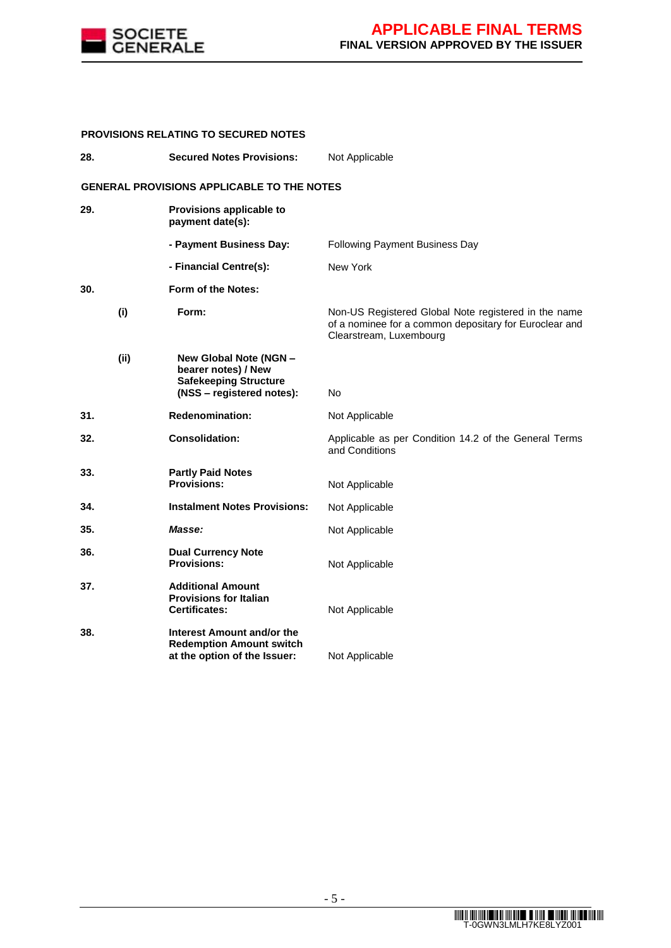

| <b>PROVISIONS RELATING TO SECURED NOTES</b> |  |                                                                                                            |                                                                                                                                           |
|---------------------------------------------|--|------------------------------------------------------------------------------------------------------------|-------------------------------------------------------------------------------------------------------------------------------------------|
| 28.<br><b>Secured Notes Provisions:</b>     |  |                                                                                                            | Not Applicable                                                                                                                            |
|                                             |  | <b>GENERAL PROVISIONS APPLICABLE TO THE NOTES</b>                                                          |                                                                                                                                           |
| 29.                                         |  | Provisions applicable to<br>payment date(s):                                                               |                                                                                                                                           |
|                                             |  | - Payment Business Day:                                                                                    | Following Payment Business Day                                                                                                            |
|                                             |  | - Financial Centre(s):                                                                                     | New York                                                                                                                                  |
| 30.                                         |  | Form of the Notes:                                                                                         |                                                                                                                                           |
| (i)                                         |  | Form:                                                                                                      | Non-US Registered Global Note registered in the name<br>of a nominee for a common depositary for Euroclear and<br>Clearstream, Luxembourg |
| (i)                                         |  | New Global Note (NGN -<br>bearer notes) / New<br><b>Safekeeping Structure</b><br>(NSS - registered notes): | N <sub>o</sub>                                                                                                                            |
| 31.                                         |  | <b>Redenomination:</b>                                                                                     | Not Applicable                                                                                                                            |
| 32.                                         |  | <b>Consolidation:</b>                                                                                      | Applicable as per Condition 14.2 of the General Terms<br>and Conditions                                                                   |
| 33.                                         |  | <b>Partly Paid Notes</b><br><b>Provisions:</b>                                                             | Not Applicable                                                                                                                            |
| 34.                                         |  | <b>Instalment Notes Provisions:</b>                                                                        | Not Applicable                                                                                                                            |
| 35.                                         |  | Masse:                                                                                                     | Not Applicable                                                                                                                            |
| 36.                                         |  | <b>Dual Currency Note</b><br><b>Provisions:</b>                                                            | Not Applicable                                                                                                                            |
| 37.                                         |  | <b>Additional Amount</b><br><b>Provisions for Italian</b><br><b>Certificates:</b>                          | Not Applicable                                                                                                                            |
| 38.                                         |  | Interest Amount and/or the<br><b>Redemption Amount switch</b><br>at the option of the Issuer:              | Not Applicable                                                                                                                            |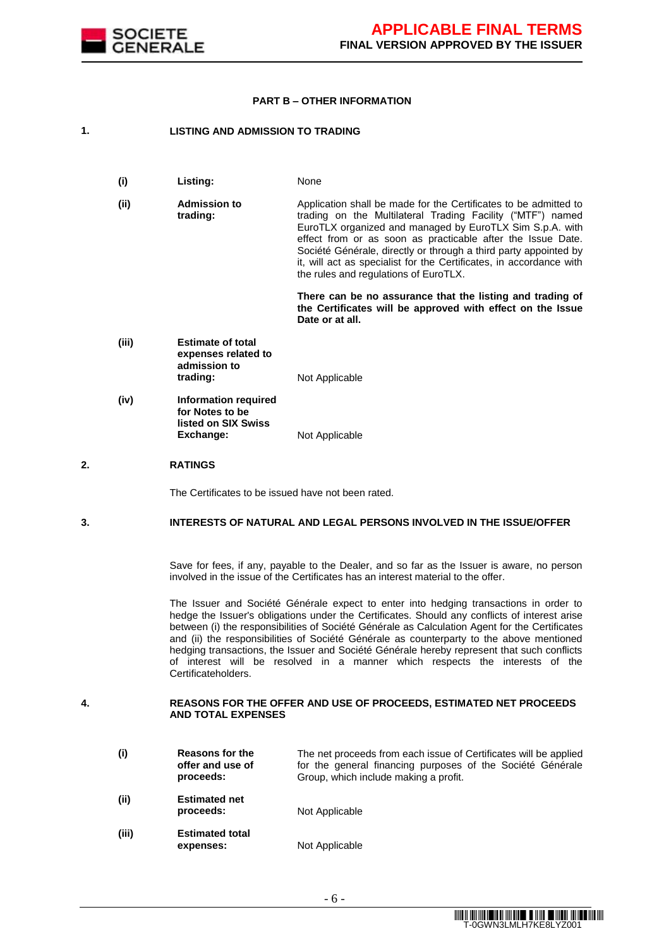

#### **PART B – OTHER INFORMATION**

#### **1. LISTING AND ADMISSION TO TRADING**

- **(i) Listing:** None
- **(ii) Admission to trading:** Application shall be made for the Certificates to be admitted to trading on the Multilateral Trading Facility ("MTF") named EuroTLX organized and managed by EuroTLX Sim S.p.A. with effect from or as soon as practicable after the Issue Date. Société Générale, directly or through a third party appointed by it, will act as specialist for the Certificates, in accordance with the rules and regulations of EuroTLX.

**There can be no assurance that the listing and trading of the Certificates will be approved with effect on the Issue Date or at all.**

- **(iii) Estimate of total expenses related to admission to Not Applicable**
- **(iv) Information required for Notes to be listed on SIX Swiss Exchange:** Not Applicable

#### **2. RATINGS**

The Certificates to be issued have not been rated.

#### **3. INTERESTS OF NATURAL AND LEGAL PERSONS INVOLVED IN THE ISSUE/OFFER**

Save for fees, if any, payable to the Dealer, and so far as the Issuer is aware, no person involved in the issue of the Certificates has an interest material to the offer.

The Issuer and Société Générale expect to enter into hedging transactions in order to hedge the Issuer's obligations under the Certificates. Should any conflicts of interest arise between (i) the responsibilities of Société Générale as Calculation Agent for the Certificates and (ii) the responsibilities of Société Générale as counterparty to the above mentioned hedging transactions, the Issuer and Société Générale hereby represent that such conflicts of interest will be resolved in a manner which respects the interests of the Certificateholders.

#### **4. REASONS FOR THE OFFER AND USE OF PROCEEDS, ESTIMATED NET PROCEEDS AND TOTAL EXPENSES**

| (i)   | <b>Reasons for the</b><br>offer and use of<br>proceeds: | The net proceeds from each issue of Certificates will be applied<br>for the general financing purposes of the Société Générale<br>Group, which include making a profit. |
|-------|---------------------------------------------------------|-------------------------------------------------------------------------------------------------------------------------------------------------------------------------|
| (ii)  | <b>Estimated net</b><br>proceeds:                       | Not Applicable                                                                                                                                                          |
| (iii) | <b>Estimated total</b><br>expenses:                     | Not Applicable                                                                                                                                                          |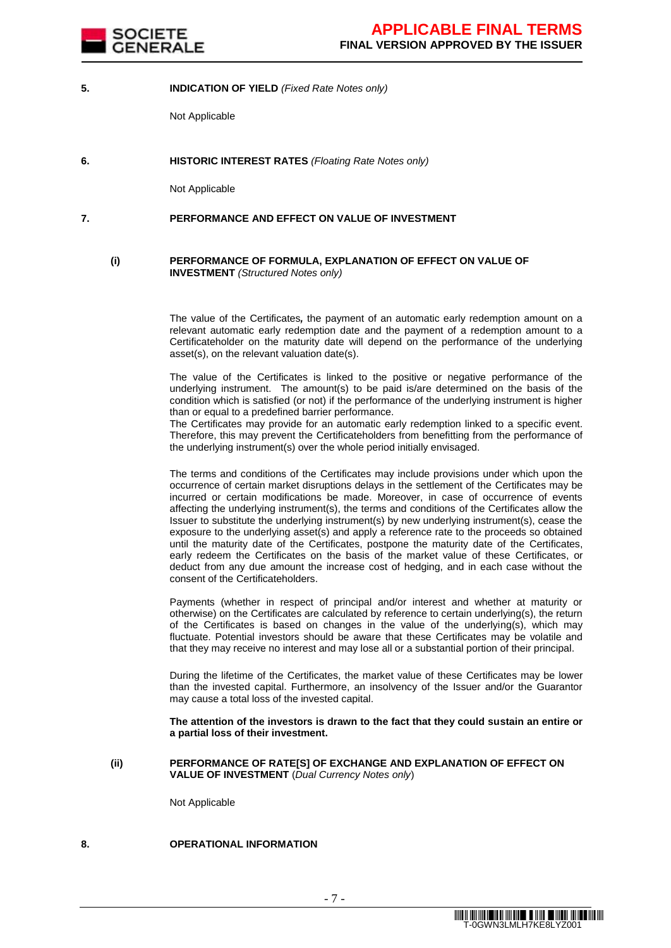

#### **5. INDICATION OF YIELD** *(Fixed Rate Notes only)*

Not Applicable

**6. HISTORIC INTEREST RATES** *(Floating Rate Notes only)*

Not Applicable

#### **7. PERFORMANCE AND EFFECT ON VALUE OF INVESTMENT**

#### **(i) PERFORMANCE OF FORMULA, EXPLANATION OF EFFECT ON VALUE OF INVESTMENT** *(Structured Notes only)*

The value of the Certificates*,* the payment of an automatic early redemption amount on a relevant automatic early redemption date and the payment of a redemption amount to a Certificateholder on the maturity date will depend on the performance of the underlying asset(s), on the relevant valuation date(s).

The value of the Certificates is linked to the positive or negative performance of the underlying instrument. The amount(s) to be paid is/are determined on the basis of the condition which is satisfied (or not) if the performance of the underlying instrument is higher than or equal to a predefined barrier performance.

The Certificates may provide for an automatic early redemption linked to a specific event. Therefore, this may prevent the Certificateholders from benefitting from the performance of the underlying instrument(s) over the whole period initially envisaged.

The terms and conditions of the Certificates may include provisions under which upon the occurrence of certain market disruptions delays in the settlement of the Certificates may be incurred or certain modifications be made. Moreover, in case of occurrence of events affecting the underlying instrument(s), the terms and conditions of the Certificates allow the Issuer to substitute the underlying instrument(s) by new underlying instrument(s), cease the exposure to the underlying asset(s) and apply a reference rate to the proceeds so obtained until the maturity date of the Certificates, postpone the maturity date of the Certificates, early redeem the Certificates on the basis of the market value of these Certificates, or deduct from any due amount the increase cost of hedging, and in each case without the consent of the Certificateholders.

Payments (whether in respect of principal and/or interest and whether at maturity or otherwise) on the Certificates are calculated by reference to certain underlying(s), the return of the Certificates is based on changes in the value of the underlying(s), which may fluctuate. Potential investors should be aware that these Certificates may be volatile and that they may receive no interest and may lose all or a substantial portion of their principal.

During the lifetime of the Certificates, the market value of these Certificates may be lower than the invested capital. Furthermore, an insolvency of the Issuer and/or the Guarantor may cause a total loss of the invested capital.

**The attention of the investors is drawn to the fact that they could sustain an entire or a partial loss of their investment.**

#### **(ii) PERFORMANCE OF RATE[S] OF EXCHANGE AND EXPLANATION OF EFFECT ON VALUE OF INVESTMENT** (*Dual Currency Notes only*)

Not Applicable

### **8. OPERATIONAL INFORMATION**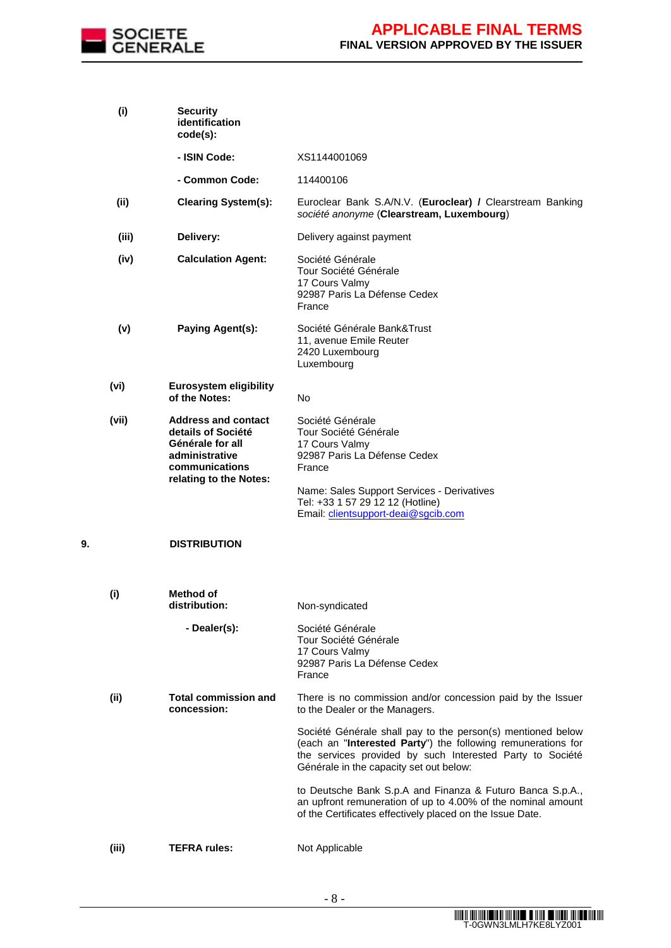

|    | (i)   | <b>Security</b><br>identification<br>code(s):                                                                                      |                                                                                                                                                                                                                                     |
|----|-------|------------------------------------------------------------------------------------------------------------------------------------|-------------------------------------------------------------------------------------------------------------------------------------------------------------------------------------------------------------------------------------|
|    |       | - ISIN Code:                                                                                                                       | XS1144001069                                                                                                                                                                                                                        |
|    |       | - Common Code:                                                                                                                     | 114400106                                                                                                                                                                                                                           |
|    | (ii)  | <b>Clearing System(s):</b>                                                                                                         | Euroclear Bank S.A/N.V. (Euroclear) / Clearstream Banking<br>société anonyme (Clearstream, Luxembourg)                                                                                                                              |
|    | (iii) | Delivery:                                                                                                                          | Delivery against payment                                                                                                                                                                                                            |
|    | (iv)  | <b>Calculation Agent:</b>                                                                                                          | Société Générale<br>Tour Société Générale<br>17 Cours Valmy<br>92987 Paris La Défense Cedex<br>France                                                                                                                               |
|    | (v)   | Paying Agent(s):                                                                                                                   | Société Générale Bank&Trust<br>11, avenue Emile Reuter<br>2420 Luxembourg<br>Luxembourg                                                                                                                                             |
|    | (vi)  | <b>Eurosystem eligibility</b><br>of the Notes:                                                                                     | No                                                                                                                                                                                                                                  |
|    | (vii) | <b>Address and contact</b><br>details of Société<br>Générale for all<br>administrative<br>communications<br>relating to the Notes: | Société Générale<br>Tour Société Générale<br>17 Cours Valmy<br>92987 Paris La Défense Cedex<br>France<br>Name: Sales Support Services - Derivatives<br>Tel: +33 1 57 29 12 12 (Hotline)                                             |
| 9. |       | <b>DISTRIBUTION</b>                                                                                                                | Email: clientsupport-deai@sgcib.com                                                                                                                                                                                                 |
|    | (i)   | <b>Method of</b><br>distribution:                                                                                                  | Non-syndicated                                                                                                                                                                                                                      |
|    |       | - Dealer(s):                                                                                                                       | Société Générale<br>Tour Société Générale<br>17 Cours Valmy<br>92987 Paris La Défense Cedex<br>France                                                                                                                               |
|    | (ii)  | <b>Total commission and</b><br>concession:                                                                                         | There is no commission and/or concession paid by the Issuer<br>to the Dealer or the Managers.                                                                                                                                       |
|    |       |                                                                                                                                    | Société Générale shall pay to the person(s) mentioned below<br>(each an "Interested Party") the following remunerations for<br>the services provided by such Interested Party to Société<br>Générale in the capacity set out below: |
|    |       |                                                                                                                                    | to Deutsche Bank S.p.A and Finanza & Futuro Banca S.p.A.,<br>an upfront remuneration of up to 4.00% of the nominal amount<br>of the Certificates effectively placed on the Issue Date.                                              |
|    | (iii) | <b>TEFRA rules:</b>                                                                                                                | Not Applicable                                                                                                                                                                                                                      |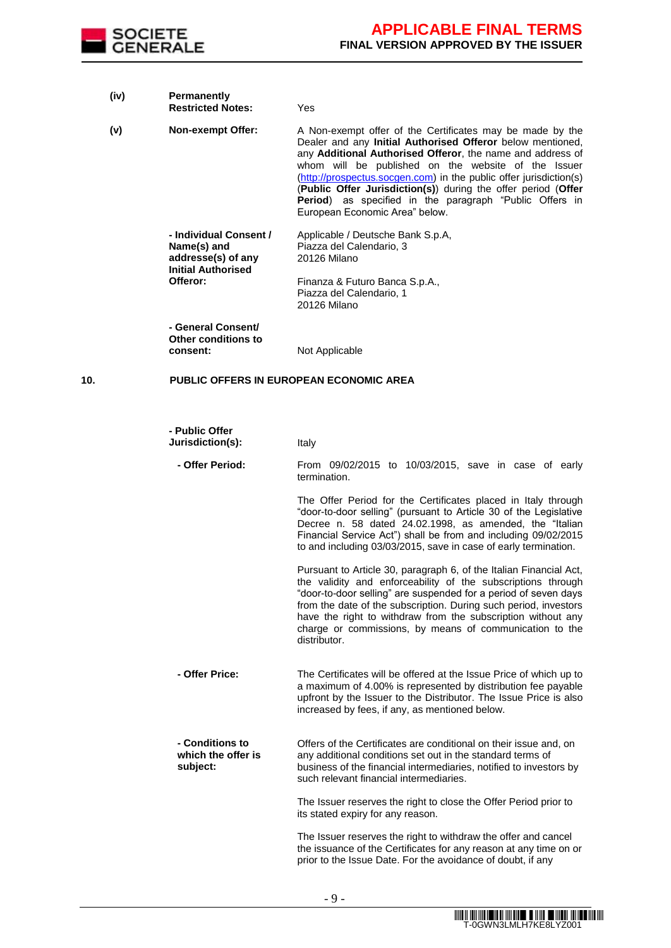

- **(iv) Permanently Restricted Notes:** Yes **(v) Non-exempt Offer:** A Non-exempt offer of the Certificates may be made by the Dealer and any **Initial Authorised Offeror** below mentioned, any **Additional Authorised Offeror**, the name and address of whom will be published on the website of the Issuer (http://prospectus.socgen.com) in the public offer jurisdiction(s) (**Public Offer Jurisdiction(s)**) during the offer period (**Offer Period**) as specified in the paragraph "Public Offers in European Economic Area" below. **- Individual Consent / Name(s) and addresse(s) of any Initial Authorised Offeror:** Applicable / Deutsche Bank S.p.A, Piazza del Calendario, 3 20126 Milano Finanza & Futuro Banca S.p.A., Piazza del Calendario, 1 20126 Milano **- General Consent/ Other conditions to consent:** Not Applicable **10. PUBLIC OFFERS IN EUROPEAN ECONOMIC AREA - Public Offer Jurisdiction(s):** Italy **- Offer Period:** From 09/02/2015 to 10/03/2015, save in case of early termination. The Offer Period for the Certificates placed in Italy through "door-to-door selling" (pursuant to Article 30 of the Legislative Decree n. 58 dated 24.02.1998, as amended, the "Italian Financial Service Act") shall be from and including 09/02/2015 to and including 03/03/2015, save in case of early termination. Pursuant to Article 30, paragraph 6, of the Italian Financial Act, the validity and enforceability of the subscriptions through "door-to-door selling" are suspended for a period of seven days from the date of the subscription. During such period, investors have the right to withdraw from the subscription without any charge or commissions, by means of communication to the distributor. **- Offer Price:** The Certificates will be offered at the Issue Price of which up to
	- a maximum of 4.00% is represented by distribution fee payable upfront by the Issuer to the Distributor. The Issue Price is also increased by fees, if any, as mentioned below.
	- **- Conditions to which the offer is subject:** Offers of the Certificates are conditional on their issue and, on any additional conditions set out in the standard terms of business of the financial intermediaries, notified to investors by such relevant financial intermediaries.

The Issuer reserves the right to close the Offer Period prior to its stated expiry for any reason.

The Issuer reserves the right to withdraw the offer and cancel the issuance of the Certificates for any reason at any time on or prior to the Issue Date. For the avoidance of doubt, if any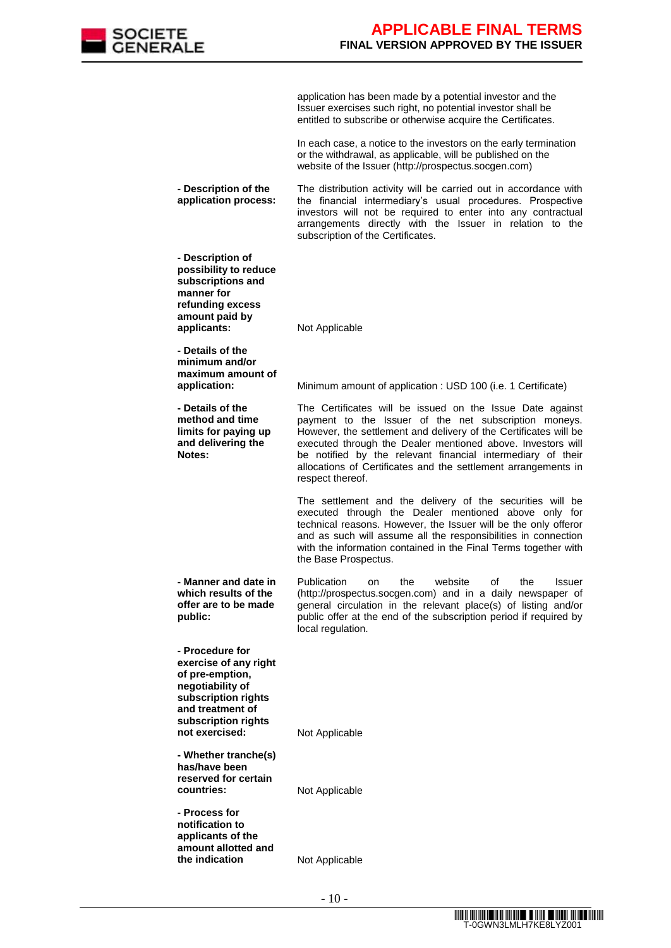

application has been made by a potential investor and the Issuer exercises such right, no potential investor shall be entitled to subscribe or otherwise acquire the Certificates.

In each case, a notice to the investors on the early termination or the withdrawal, as applicable, will be published on the website of the Issuer (http://prospectus.socgen.com)

**- Description of the application process:** The distribution activity will be carried out in accordance with the financial intermediary's usual procedures. Prospective investors will not be required to enter into any contractual arrangements directly with the Issuer in relation to the subscription of the Certificates.

**- Description of possibility to reduce subscriptions and manner for refunding excess amount paid by applicants:** Not Applicable

**- Details of the minimum and/or maximum amount of** 

**- Details of the method and time limits for paying up and delivering the Notes:**

**application:** Minimum amount of application : USD 100 (i.e. 1 Certificate)

The Certificates will be issued on the Issue Date against payment to the Issuer of the net subscription moneys. However, the settlement and delivery of the Certificates will be executed through the Dealer mentioned above. Investors will be notified by the relevant financial intermediary of their allocations of Certificates and the settlement arrangements in respect thereof.

The settlement and the delivery of the securities will be executed through the Dealer mentioned above only for technical reasons. However, the Issuer will be the only offeror and as such will assume all the responsibilities in connection with the information contained in the Final Terms together with the Base Prospectus.

**- Manner and date in which results of the offer are to be made**  Publication on the website of the Issuer (http://prospectus.socgen.com) and in a daily newspaper of general circulation in the relevant place(s) of listing and/or public offer at the end of the subscription period if required by local regulation.

**- Procedure for exercise of any right of pre-emption, negotiability of subscription rights and treatment of subscription rights not exercised:** Not Applicable

**public:**

**- Whether tranche(s) has/have been reserved for certain**  countries: Not Applicable

**- Process for notification to applicants of the amount allotted and the indication Not Applicable**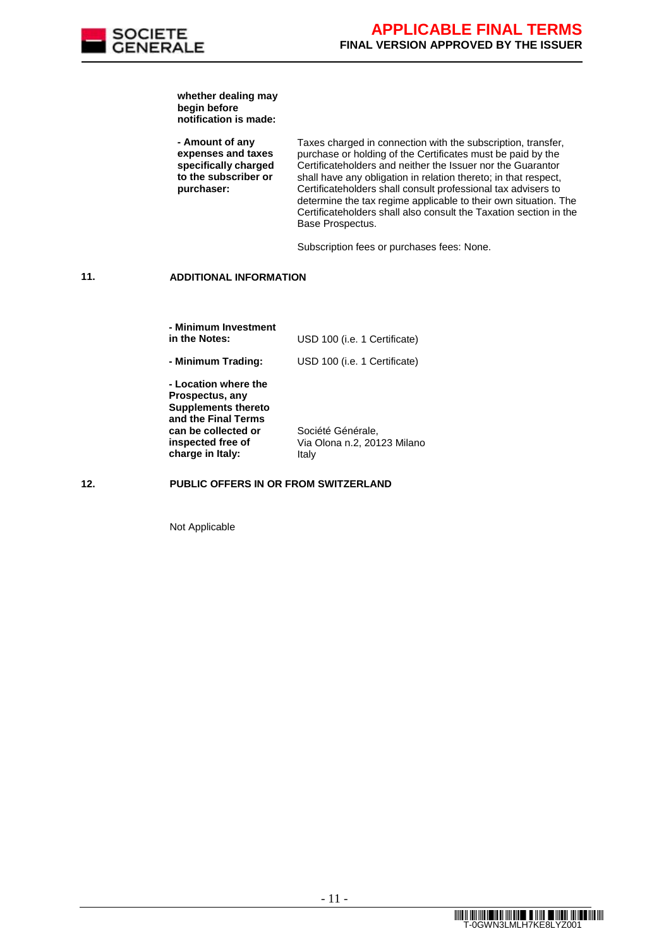

**whether dealing may begin before notification is made:**

**- Amount of any expenses and taxes specifically charged to the subscriber or purchaser:**

Taxes charged in connection with the subscription, transfer, purchase or holding of the Certificates must be paid by the Certificateholders and neither the Issuer nor the Guarantor shall have any obligation in relation thereto; in that respect, Certificateholders shall consult professional tax advisers to determine the tax regime applicable to their own situation. The Certificateholders shall also consult the Taxation section in the Base Prospectus.

Subscription fees or purchases fees: None.

### **11. ADDITIONAL INFORMATION**

| - Minimum Investment<br>in the Notes:                                                        | USD 100 (i.e. 1 Certificate)                     |
|----------------------------------------------------------------------------------------------|--------------------------------------------------|
| - Minimum Trading:                                                                           | USD 100 (i.e. 1 Certificate)                     |
| - Location where the<br>Prospectus, any<br><b>Supplements thereto</b><br>and the Final Terms |                                                  |
| can be collected or<br>inspected free of                                                     | Société Générale,<br>Via Olona n.2, 20123 Milano |
| charge in Italy:                                                                             | Italy                                            |

#### **12. PUBLIC OFFERS IN OR FROM SWITZERLAND**

Not Applicable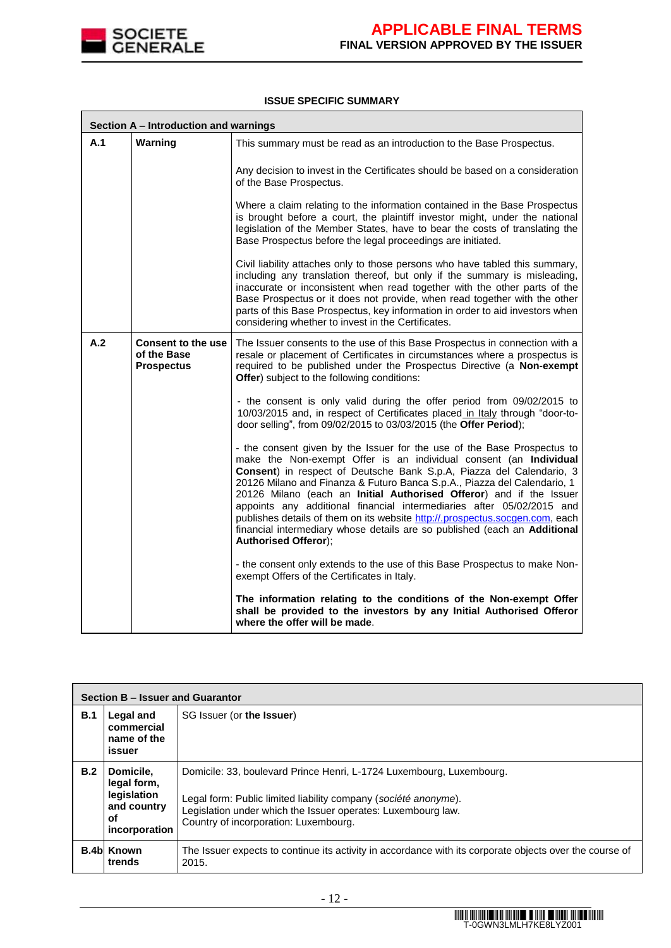

#### **ISSUE SPECIFIC SUMMARY**

|     | Section A - Introduction and warnings                         |                                                                                                                                                                                                                                                                                                                                                                                                                                                                                                                                                                                                                                              |  |
|-----|---------------------------------------------------------------|----------------------------------------------------------------------------------------------------------------------------------------------------------------------------------------------------------------------------------------------------------------------------------------------------------------------------------------------------------------------------------------------------------------------------------------------------------------------------------------------------------------------------------------------------------------------------------------------------------------------------------------------|--|
| A.1 | Warning                                                       | This summary must be read as an introduction to the Base Prospectus.                                                                                                                                                                                                                                                                                                                                                                                                                                                                                                                                                                         |  |
|     |                                                               | Any decision to invest in the Certificates should be based on a consideration<br>of the Base Prospectus.                                                                                                                                                                                                                                                                                                                                                                                                                                                                                                                                     |  |
|     |                                                               | Where a claim relating to the information contained in the Base Prospectus<br>is brought before a court, the plaintiff investor might, under the national<br>legislation of the Member States, have to bear the costs of translating the<br>Base Prospectus before the legal proceedings are initiated.                                                                                                                                                                                                                                                                                                                                      |  |
|     |                                                               | Civil liability attaches only to those persons who have tabled this summary,<br>including any translation thereof, but only if the summary is misleading,<br>inaccurate or inconsistent when read together with the other parts of the<br>Base Prospectus or it does not provide, when read together with the other<br>parts of this Base Prospectus, key information in order to aid investors when<br>considering whether to invest in the Certificates.                                                                                                                                                                                   |  |
| A.2 | <b>Consent to the use</b><br>of the Base<br><b>Prospectus</b> | The Issuer consents to the use of this Base Prospectus in connection with a<br>resale or placement of Certificates in circumstances where a prospectus is<br>required to be published under the Prospectus Directive (a Non-exempt<br>Offer) subject to the following conditions:                                                                                                                                                                                                                                                                                                                                                            |  |
|     |                                                               | - the consent is only valid during the offer period from 09/02/2015 to<br>10/03/2015 and, in respect of Certificates placed in Italy through "door-to-<br>door selling", from 09/02/2015 to 03/03/2015 (the Offer Period);                                                                                                                                                                                                                                                                                                                                                                                                                   |  |
|     |                                                               | - the consent given by the Issuer for the use of the Base Prospectus to<br>make the Non-exempt Offer is an individual consent (an Individual<br>Consent) in respect of Deutsche Bank S.p.A, Piazza del Calendario, 3<br>20126 Milano and Finanza & Futuro Banca S.p.A., Piazza del Calendario, 1<br>20126 Milano (each an Initial Authorised Offeror) and if the Issuer<br>appoints any additional financial intermediaries after 05/02/2015 and<br>publishes details of them on its website http://.prospectus.socgen.com, each<br>financial intermediary whose details are so published (each an Additional<br><b>Authorised Offeror);</b> |  |
|     |                                                               | - the consent only extends to the use of this Base Prospectus to make Non-<br>exempt Offers of the Certificates in Italy.                                                                                                                                                                                                                                                                                                                                                                                                                                                                                                                    |  |
|     |                                                               | The information relating to the conditions of the Non-exempt Offer<br>shall be provided to the investors by any Initial Authorised Offeror<br>where the offer will be made.                                                                                                                                                                                                                                                                                                                                                                                                                                                                  |  |

|     | Section B - Issuer and Guarantor                                              |                                                                                                                                                                                                                                                  |  |  |
|-----|-------------------------------------------------------------------------------|--------------------------------------------------------------------------------------------------------------------------------------------------------------------------------------------------------------------------------------------------|--|--|
| B.1 | Legal and<br>commercial<br>name of the<br>issuer                              | SG Issuer (or the Issuer)                                                                                                                                                                                                                        |  |  |
| B.2 | Domicile,<br>legal form,<br>legislation<br>and country<br>οf<br>incorporation | Domicile: 33, boulevard Prince Henri, L-1724 Luxembourg, Luxembourg.<br>Legal form: Public limited liability company (société anonyme).<br>Legislation under which the Issuer operates: Luxembourg law.<br>Country of incorporation: Luxembourg. |  |  |
|     | <b>B.4b Known</b><br>trends                                                   | The Issuer expects to continue its activity in accordance with its corporate objects over the course of<br>2015.                                                                                                                                 |  |  |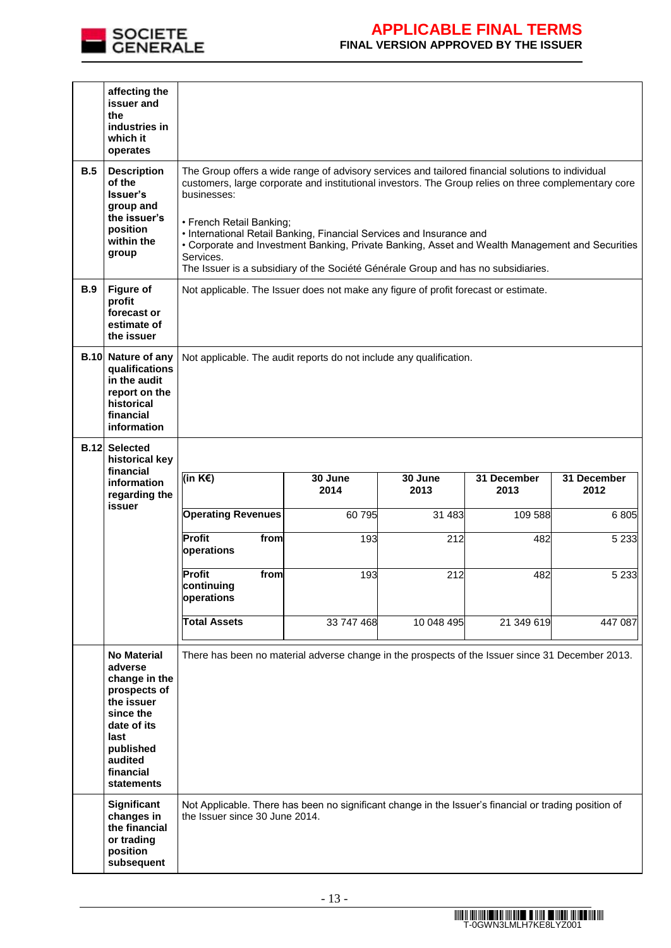

|            | affecting the<br>issuer and<br>the<br>industries in<br>which it<br>operates                                                                                                |                                                                                                                                                                                                                                                                                                                                                                                                                                                                                                                                   |                                                                                                                                         |                 |                     |                     |
|------------|----------------------------------------------------------------------------------------------------------------------------------------------------------------------------|-----------------------------------------------------------------------------------------------------------------------------------------------------------------------------------------------------------------------------------------------------------------------------------------------------------------------------------------------------------------------------------------------------------------------------------------------------------------------------------------------------------------------------------|-----------------------------------------------------------------------------------------------------------------------------------------|-----------------|---------------------|---------------------|
| B.5        | <b>Description</b><br>of the<br>Issuer's<br>group and<br>the issuer's<br>position<br>within the<br>group                                                                   | The Group offers a wide range of advisory services and tailored financial solutions to individual<br>customers, large corporate and institutional investors. The Group relies on three complementary core<br>businesses:<br>• French Retail Banking;<br>• International Retail Banking, Financial Services and Insurance and<br>• Corporate and Investment Banking, Private Banking, Asset and Wealth Management and Securities<br>Services.<br>The Issuer is a subsidiary of the Société Générale Group and has no subsidiaries. |                                                                                                                                         |                 |                     |                     |
| <b>B.9</b> | <b>Figure of</b><br>profit<br>forecast or<br>estimate of<br>the issuer                                                                                                     | Not applicable. The Issuer does not make any figure of profit forecast or estimate.                                                                                                                                                                                                                                                                                                                                                                                                                                               |                                                                                                                                         |                 |                     |                     |
|            | <b>B.10 Nature of any</b><br>qualifications<br>in the audit<br>report on the<br>historical<br>financial<br>information                                                     | Not applicable. The audit reports do not include any qualification.                                                                                                                                                                                                                                                                                                                                                                                                                                                               |                                                                                                                                         |                 |                     |                     |
|            | <b>B.12 Selected</b><br>historical key                                                                                                                                     |                                                                                                                                                                                                                                                                                                                                                                                                                                                                                                                                   |                                                                                                                                         |                 |                     |                     |
|            | financial<br>information<br>regarding the                                                                                                                                  | (in $K \in \mathbb{R}$ )                                                                                                                                                                                                                                                                                                                                                                                                                                                                                                          | 30 June<br>2014                                                                                                                         | 30 June<br>2013 | 31 December<br>2013 | 31 December<br>2012 |
|            | issuer                                                                                                                                                                     | <b>Operating Revenues</b>                                                                                                                                                                                                                                                                                                                                                                                                                                                                                                         | 60 795                                                                                                                                  | 31 483          | 109 588             | 6805                |
|            |                                                                                                                                                                            | Profit<br>from<br>operations                                                                                                                                                                                                                                                                                                                                                                                                                                                                                                      | 193                                                                                                                                     | 212             | 482                 | 5 2 3 3             |
|            |                                                                                                                                                                            | <b>Profit</b><br>from<br>continuing<br>operations                                                                                                                                                                                                                                                                                                                                                                                                                                                                                 | 193                                                                                                                                     | 212             | 482                 | 5 2 3 3             |
|            |                                                                                                                                                                            | <b>Total Assets</b>                                                                                                                                                                                                                                                                                                                                                                                                                                                                                                               | 33 747 468                                                                                                                              | 10 048 495      | 21 349 619          | 447 087             |
|            | <b>No Material</b><br>adverse<br>change in the<br>prospects of<br>the issuer<br>since the<br>date of its<br>last<br>published<br>audited<br>financial<br><b>statements</b> | There has been no material adverse change in the prospects of the Issuer since 31 December 2013.                                                                                                                                                                                                                                                                                                                                                                                                                                  |                                                                                                                                         |                 |                     |                     |
|            | <b>Significant</b><br>changes in<br>the financial<br>or trading<br>position<br>subsequent                                                                                  |                                                                                                                                                                                                                                                                                                                                                                                                                                                                                                                                   | Not Applicable. There has been no significant change in the Issuer's financial or trading position of<br>the Issuer since 30 June 2014. |                 |                     |                     |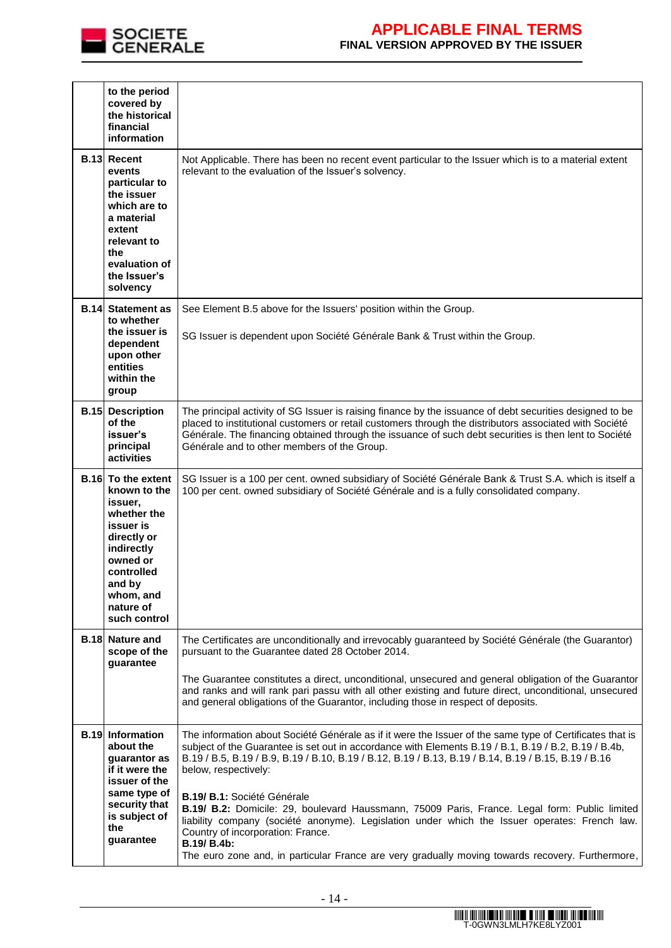

|             | to the period<br>covered by<br>the historical<br>financial<br>information                                                                                                                   |                                                                                                                                                                                                                                                                                                                                                                                                                                                                                                                                                                                                                                       |
|-------------|---------------------------------------------------------------------------------------------------------------------------------------------------------------------------------------------|---------------------------------------------------------------------------------------------------------------------------------------------------------------------------------------------------------------------------------------------------------------------------------------------------------------------------------------------------------------------------------------------------------------------------------------------------------------------------------------------------------------------------------------------------------------------------------------------------------------------------------------|
|             | <b>B.13 Recent</b><br>events<br>particular to<br>the issuer<br>which are to<br>a material<br>extent<br>relevant to<br>the<br>evaluation of<br>the Issuer's<br>solvency                      | Not Applicable. There has been no recent event particular to the Issuer which is to a material extent<br>relevant to the evaluation of the Issuer's solvency.                                                                                                                                                                                                                                                                                                                                                                                                                                                                         |
| <b>B.14</b> | <b>Statement as</b><br>to whether                                                                                                                                                           | See Element B.5 above for the Issuers' position within the Group.                                                                                                                                                                                                                                                                                                                                                                                                                                                                                                                                                                     |
|             | the issuer is<br>dependent<br>upon other<br>entities<br>within the<br>group                                                                                                                 | SG Issuer is dependent upon Société Générale Bank & Trust within the Group.                                                                                                                                                                                                                                                                                                                                                                                                                                                                                                                                                           |
|             | <b>B.15</b> Description<br>of the<br>issuer's<br>principal<br>activities                                                                                                                    | The principal activity of SG Issuer is raising finance by the issuance of debt securities designed to be<br>placed to institutional customers or retail customers through the distributors associated with Société<br>Générale. The financing obtained through the issuance of such debt securities is then lent to Société<br>Générale and to other members of the Group.                                                                                                                                                                                                                                                            |
|             | <b>B.16</b> To the extent<br>known to the<br>issuer,<br>whether the<br>issuer is<br>directly or<br>indirectly<br>owned or<br>controlled<br>and by<br>whom, and<br>nature of<br>such control | SG Issuer is a 100 per cent. owned subsidiary of Société Générale Bank & Trust S.A. which is itself a<br>100 per cent. owned subsidiary of Société Générale and is a fully consolidated company.                                                                                                                                                                                                                                                                                                                                                                                                                                      |
|             | <b>B.18 Nature and</b><br>scope of the<br>guarantee                                                                                                                                         | The Certificates are unconditionally and irrevocably guaranteed by Société Générale (the Guarantor)<br>pursuant to the Guarantee dated 28 October 2014.                                                                                                                                                                                                                                                                                                                                                                                                                                                                               |
|             |                                                                                                                                                                                             | The Guarantee constitutes a direct, unconditional, unsecured and general obligation of the Guarantor<br>and ranks and will rank pari passu with all other existing and future direct, unconditional, unsecured<br>and general obligations of the Guarantor, including those in respect of deposits.                                                                                                                                                                                                                                                                                                                                   |
|             | <b>B.19 Information</b><br>about the<br>guarantor as<br>if it were the<br>issuer of the<br>same type of<br>security that<br>is subject of<br>the<br>guarantee                               | The information about Société Générale as if it were the Issuer of the same type of Certificates that is<br>subject of the Guarantee is set out in accordance with Elements B.19 / B.1, B.19 / B.2, B.19 / B.4b,<br>B.19 / B.5, B.19 / B.9, B.19 / B.10, B.19 / B.12, B.19 / B.13, B.19 / B.14, B.19 / B.15, B.19 / B.16<br>below, respectively:<br>B.19/ B.1: Société Générale<br>B.19/ B.2: Domicile: 29, boulevard Haussmann, 75009 Paris, France. Legal form: Public limited<br>liability company (société anonyme). Legislation under which the Issuer operates: French law.<br>Country of incorporation: France.<br>B.19/ B.4b: |
|             |                                                                                                                                                                                             | The euro zone and, in particular France are very gradually moving towards recovery. Furthermore,                                                                                                                                                                                                                                                                                                                                                                                                                                                                                                                                      |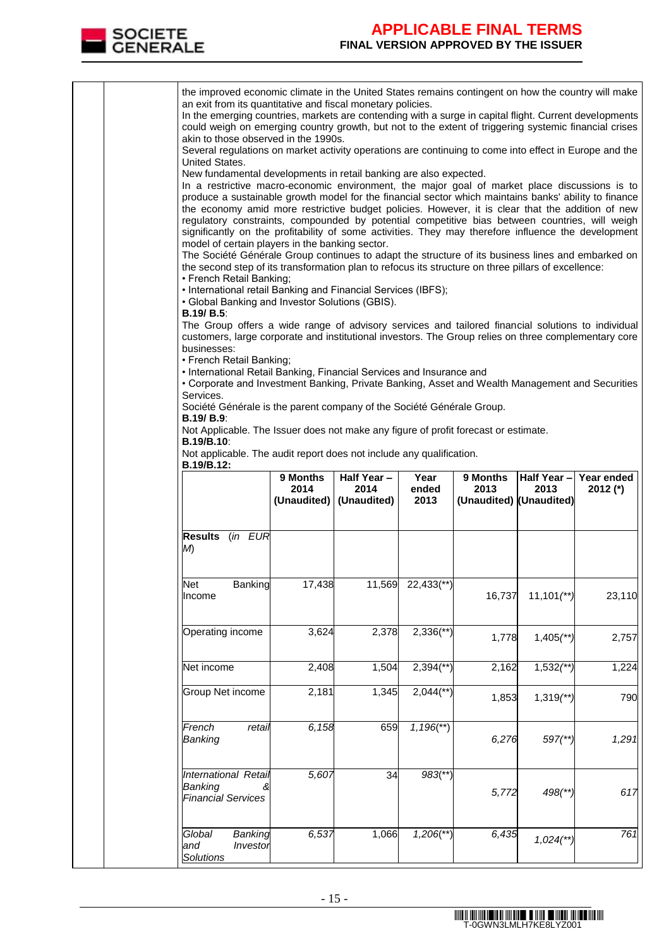

|  | the improved economic climate in the United States remains contingent on how the country will make<br>an exit from its quantitative and fiscal monetary policies.<br>In the emerging countries, markets are contending with a surge in capital flight. Current developments<br>could weigh on emerging country growth, but not to the extent of triggering systemic financial crises<br>akin to those observed in the 1990s.<br>Several regulations on market activity operations are continuing to come into effect in Europe and the                                                                                                                                                                                                                                                                                                                                                                                                                                                                                                                                                                                                                                                                                                                                                                                                                                         |                  |                                               |                         |                                             |                          |                        |
|--|--------------------------------------------------------------------------------------------------------------------------------------------------------------------------------------------------------------------------------------------------------------------------------------------------------------------------------------------------------------------------------------------------------------------------------------------------------------------------------------------------------------------------------------------------------------------------------------------------------------------------------------------------------------------------------------------------------------------------------------------------------------------------------------------------------------------------------------------------------------------------------------------------------------------------------------------------------------------------------------------------------------------------------------------------------------------------------------------------------------------------------------------------------------------------------------------------------------------------------------------------------------------------------------------------------------------------------------------------------------------------------|------------------|-----------------------------------------------|-------------------------|---------------------------------------------|--------------------------|------------------------|
|  | United States.<br>New fundamental developments in retail banking are also expected.<br>In a restrictive macro-economic environment, the major goal of market place discussions is to<br>produce a sustainable growth model for the financial sector which maintains banks' ability to finance<br>the economy amid more restrictive budget policies. However, it is clear that the addition of new<br>regulatory constraints, compounded by potential competitive bias between countries, will weigh<br>significantly on the profitability of some activities. They may therefore influence the development<br>model of certain players in the banking sector.<br>The Société Générale Group continues to adapt the structure of its business lines and embarked on<br>the second step of its transformation plan to refocus its structure on three pillars of excellence:<br>• French Retail Banking;<br>• International retail Banking and Financial Services (IBFS);<br>• Global Banking and Investor Solutions (GBIS).<br><b>B.19/ B.5:</b><br>The Group offers a wide range of advisory services and tailored financial solutions to individual<br>customers, large corporate and institutional investors. The Group relies on three complementary core<br>businesses:<br>• French Retail Banking;<br>• International Retail Banking, Financial Services and Insurance and |                  |                                               |                         |                                             |                          |                        |
|  | • Corporate and Investment Banking, Private Banking, Asset and Wealth Management and Securities<br>Services.<br>Société Générale is the parent company of the Société Générale Group.<br><b>B.19/ B.9:</b><br>Not Applicable. The Issuer does not make any figure of profit forecast or estimate.<br><b>B.19/B.10:</b><br>Not applicable. The audit report does not include any qualification.                                                                                                                                                                                                                                                                                                                                                                                                                                                                                                                                                                                                                                                                                                                                                                                                                                                                                                                                                                                 |                  |                                               |                         |                                             |                          |                        |
|  | B.19/B.12:                                                                                                                                                                                                                                                                                                                                                                                                                                                                                                                                                                                                                                                                                                                                                                                                                                                                                                                                                                                                                                                                                                                                                                                                                                                                                                                                                                     | 9 Months<br>2014 | Half Year-<br>2014<br>(Unaudited) (Unaudited) | Year<br>ended<br>2013   | 9 Months<br>2013<br>(Unaudited) (Unaudited) | Half Year-<br>2013       | Year ended<br>2012 (*) |
|  | Results (in EUR<br>M)                                                                                                                                                                                                                                                                                                                                                                                                                                                                                                                                                                                                                                                                                                                                                                                                                                                                                                                                                                                                                                                                                                                                                                                                                                                                                                                                                          |                  |                                               |                         |                                             |                          |                        |
|  | Net<br><b>Banking</b><br>Income                                                                                                                                                                                                                                                                                                                                                                                                                                                                                                                                                                                                                                                                                                                                                                                                                                                                                                                                                                                                                                                                                                                                                                                                                                                                                                                                                | 17,438           |                                               | 11,569 22,433(**)       | 16,737                                      | $11,101$ <sup>**</sup> ) | 23,110                 |
|  | Operating income                                                                                                                                                                                                                                                                                                                                                                                                                                                                                                                                                                                                                                                                                                                                                                                                                                                                                                                                                                                                                                                                                                                                                                                                                                                                                                                                                               | 3,624            | 2,378                                         | $2,336$ <sup>**</sup> ) | 1,778                                       | $1,405$ (**)             | 2,757                  |
|  | Net income                                                                                                                                                                                                                                                                                                                                                                                                                                                                                                                                                                                                                                                                                                                                                                                                                                                                                                                                                                                                                                                                                                                                                                                                                                                                                                                                                                     | 2,408            | 1,504                                         | $2,394$ <sup>**</sup> ) | 2,162                                       | $1,532$ (**)             | 1,224                  |
|  | Group Net income                                                                                                                                                                                                                                                                                                                                                                                                                                                                                                                                                                                                                                                                                                                                                                                                                                                                                                                                                                                                                                                                                                                                                                                                                                                                                                                                                               | 2,181            | 1,345                                         | $2,044$ <sup>**</sup> ) | 1,853                                       | $1,319$ <sup>**</sup> )  | 790                    |
|  | French<br>retail<br>Banking                                                                                                                                                                                                                                                                                                                                                                                                                                                                                                                                                                                                                                                                                                                                                                                                                                                                                                                                                                                                                                                                                                                                                                                                                                                                                                                                                    | 6,158            | 659                                           | $1,196$ <sup>**</sup> ) | 6,276                                       | $597$ <sup>**</sup> )    | 1,291                  |
|  | International Retail<br>Banking<br><b>Financial Services</b>                                                                                                                                                                                                                                                                                                                                                                                                                                                                                                                                                                                                                                                                                                                                                                                                                                                                                                                                                                                                                                                                                                                                                                                                                                                                                                                   | 5,607            | 34                                            | $983$ <sup>**</sup> )   | 5,772                                       | $498$ (**)               | 617                    |
|  | Global<br>Banking<br>Investor<br>and<br><b>Solutions</b>                                                                                                                                                                                                                                                                                                                                                                                                                                                                                                                                                                                                                                                                                                                                                                                                                                                                                                                                                                                                                                                                                                                                                                                                                                                                                                                       | 6,537            | 1,066                                         | $1,206$ <sup>**</sup> ) | 6,435                                       | $1,024$ <sup>**</sup> )  | 761                    |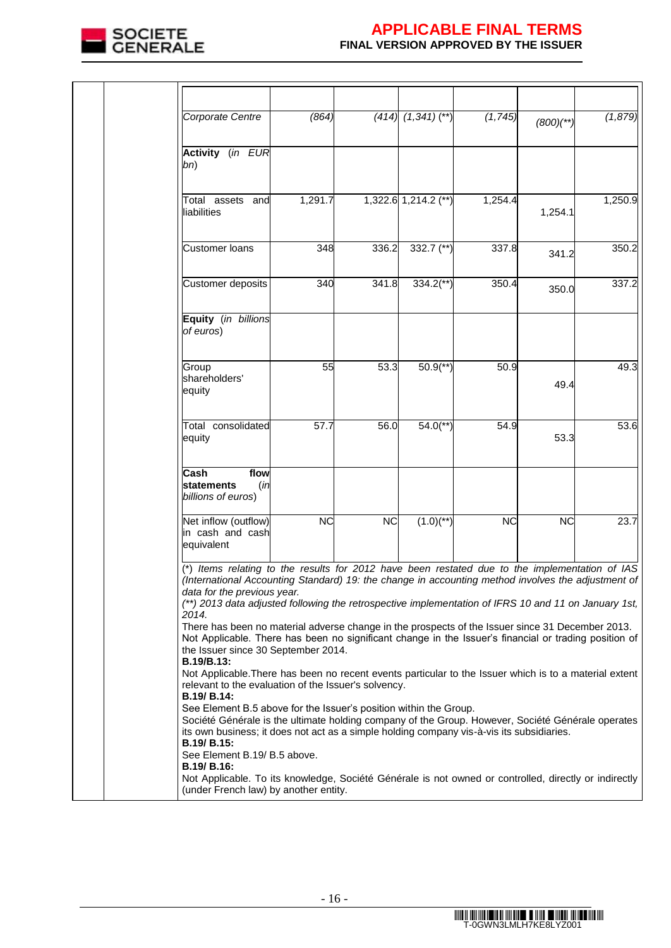

| Corporate Centre                                                                                                                                                                                                                                                                                                                            | (864)     |           | $(414)$ $(1,341)$ $(**)$ | (1, 745)  | $(800)'$ **) | (1, 879) |
|---------------------------------------------------------------------------------------------------------------------------------------------------------------------------------------------------------------------------------------------------------------------------------------------------------------------------------------------|-----------|-----------|--------------------------|-----------|--------------|----------|
|                                                                                                                                                                                                                                                                                                                                             |           |           |                          |           |              |          |
| Activity (in EUR<br>bn)                                                                                                                                                                                                                                                                                                                     |           |           |                          |           |              |          |
| Total assets and<br>liabilities                                                                                                                                                                                                                                                                                                             | 1,291.7   |           | 1,322.6 1,214.2 (**)     | 1,254.4   | 1,254.1      | 1,250.9  |
| <b>Customer loans</b>                                                                                                                                                                                                                                                                                                                       | 348       | 336.2     | 332.7 $(*)$              | 337.8     | 341.2        | 350.2    |
| Customer deposits                                                                                                                                                                                                                                                                                                                           | 340       | 341.8     | $334.2$ <sup>**</sup> )  | 350.4     | 350.0        | 337.2    |
| Equity (in billions<br>of euros)                                                                                                                                                                                                                                                                                                            |           |           |                          |           |              |          |
| Group<br>shareholders'<br>equity                                                                                                                                                                                                                                                                                                            | 55        | 53.3      | $50.9$ <sup>**</sup> )   | 50.9      | 49.4         | 49.3     |
| Total consolidated<br>equity                                                                                                                                                                                                                                                                                                                | 57.7      | 56.0      | $54.0$ <sup>**</sup> )   | 54.9      | 53.3         | 53.6     |
| flow<br>Cash<br><b>statements</b><br>(in<br>billions of euros)                                                                                                                                                                                                                                                                              |           |           |                          |           |              |          |
| Net inflow (outflow)<br>in cash and cash<br>equivalent                                                                                                                                                                                                                                                                                      | <b>NC</b> | <b>NC</b> | $(1.0)^{**}$             | <b>NC</b> | <b>NC</b>    | 23.7     |
| (*) Items relating to the results for 2012 have been restated due to the implementation of IAS<br>(International Accounting Standard) 19: the change in accounting method involves the adjustment of<br>data for the previous year.<br>(**) 2013 data adjusted following the retrospective implementation of IFRS 10 and 11 on January 1st, |           |           |                          |           |              |          |
| 2014.<br>There has been no material adverse change in the prospects of the Issuer since 31 December 2013.<br>Not Applicable. There has been no significant change in the Issuer's financial or trading position of<br>the Issuer since 30 September 2014.                                                                                   |           |           |                          |           |              |          |
| B.19/B.13:<br>Not Applicable. There has been no recent events particular to the Issuer which is to a material extent<br>relevant to the evaluation of the Issuer's solvency.                                                                                                                                                                |           |           |                          |           |              |          |
| B.19/ B.14:<br>See Element B.5 above for the Issuer's position within the Group.<br>Société Générale is the ultimate holding company of the Group. However, Société Générale operates<br>its own business; it does not act as a simple holding company vis-à-vis its subsidiaries.<br>B.19/ B.15:                                           |           |           |                          |           |              |          |
| See Element B.19/ B.5 above.<br>B.19/ B.16:<br>Not Applicable. To its knowledge, Société Générale is not owned or controlled, directly or indirectly<br>(under French law) by another entity.                                                                                                                                               |           |           |                          |           |              |          |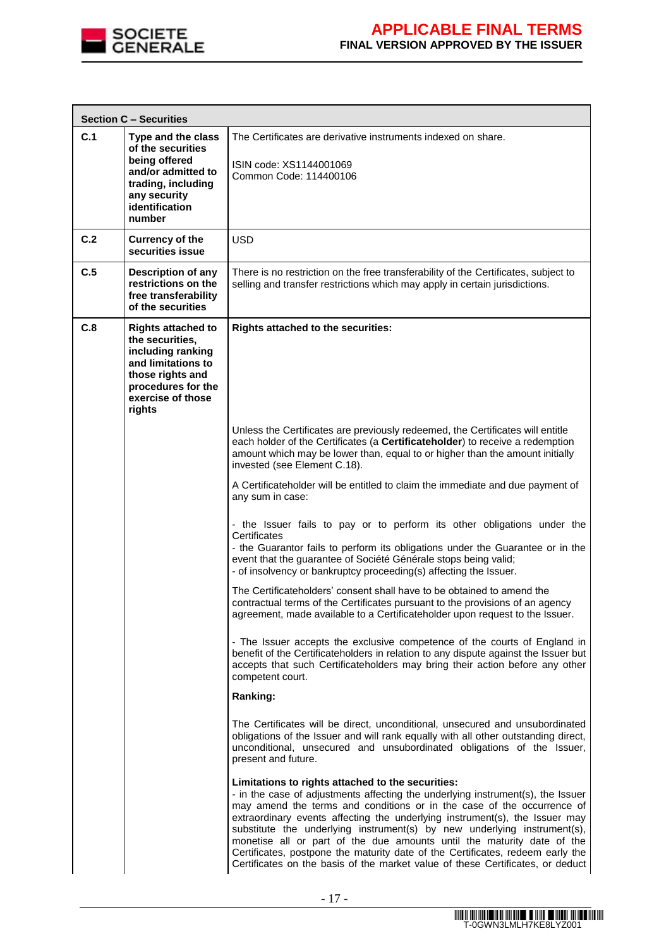

|     | <b>Section C - Securities</b>                                                                                                                                    |                                                                                                                                                                                                                                                                                                                                                                                                                                                                                                                                                                                                                         |
|-----|------------------------------------------------------------------------------------------------------------------------------------------------------------------|-------------------------------------------------------------------------------------------------------------------------------------------------------------------------------------------------------------------------------------------------------------------------------------------------------------------------------------------------------------------------------------------------------------------------------------------------------------------------------------------------------------------------------------------------------------------------------------------------------------------------|
| C.1 | Type and the class<br>of the securities<br>being offered<br>and/or admitted to<br>trading, including<br>any security<br>identification<br>number                 | The Certificates are derivative instruments indexed on share.<br>ISIN code: XS1144001069<br>Common Code: 114400106                                                                                                                                                                                                                                                                                                                                                                                                                                                                                                      |
| C.2 | <b>Currency of the</b><br>securities issue                                                                                                                       | <b>USD</b>                                                                                                                                                                                                                                                                                                                                                                                                                                                                                                                                                                                                              |
| C.5 | <b>Description of any</b><br>restrictions on the<br>free transferability<br>of the securities                                                                    | There is no restriction on the free transferability of the Certificates, subject to<br>selling and transfer restrictions which may apply in certain jurisdictions.                                                                                                                                                                                                                                                                                                                                                                                                                                                      |
| C.8 | <b>Rights attached to</b><br>the securities,<br>including ranking<br>and limitations to<br>those rights and<br>procedures for the<br>exercise of those<br>rights | Rights attached to the securities:                                                                                                                                                                                                                                                                                                                                                                                                                                                                                                                                                                                      |
|     |                                                                                                                                                                  | Unless the Certificates are previously redeemed, the Certificates will entitle<br>each holder of the Certificates (a Certificateholder) to receive a redemption<br>amount which may be lower than, equal to or higher than the amount initially<br>invested (see Element C.18).                                                                                                                                                                                                                                                                                                                                         |
|     |                                                                                                                                                                  | A Certificateholder will be entitled to claim the immediate and due payment of<br>any sum in case:                                                                                                                                                                                                                                                                                                                                                                                                                                                                                                                      |
|     |                                                                                                                                                                  | - the Issuer fails to pay or to perform its other obligations under the<br>Certificates<br>- the Guarantor fails to perform its obligations under the Guarantee or in the<br>event that the guarantee of Société Générale stops being valid;<br>- of insolvency or bankruptcy proceeding(s) affecting the Issuer.                                                                                                                                                                                                                                                                                                       |
|     |                                                                                                                                                                  | The Certificateholders' consent shall have to be obtained to amend the<br>contractual terms of the Certificates pursuant to the provisions of an agency<br>agreement, made available to a Certificateholder upon request to the Issuer.                                                                                                                                                                                                                                                                                                                                                                                 |
|     |                                                                                                                                                                  | - The Issuer accepts the exclusive competence of the courts of England in<br>benefit of the Certificateholders in relation to any dispute against the Issuer but<br>accepts that such Certificateholders may bring their action before any other<br>competent court.                                                                                                                                                                                                                                                                                                                                                    |
|     |                                                                                                                                                                  | Ranking:                                                                                                                                                                                                                                                                                                                                                                                                                                                                                                                                                                                                                |
|     |                                                                                                                                                                  | The Certificates will be direct, unconditional, unsecured and unsubordinated<br>obligations of the Issuer and will rank equally with all other outstanding direct,<br>unconditional, unsecured and unsubordinated obligations of the Issuer,<br>present and future.                                                                                                                                                                                                                                                                                                                                                     |
|     |                                                                                                                                                                  | Limitations to rights attached to the securities:<br>- in the case of adjustments affecting the underlying instrument(s), the Issuer<br>may amend the terms and conditions or in the case of the occurrence of<br>extraordinary events affecting the underlying instrument(s), the Issuer may<br>substitute the underlying instrument(s) by new underlying instrument(s),<br>monetise all or part of the due amounts until the maturity date of the<br>Certificates, postpone the maturity date of the Certificates, redeem early the<br>Certificates on the basis of the market value of these Certificates, or deduct |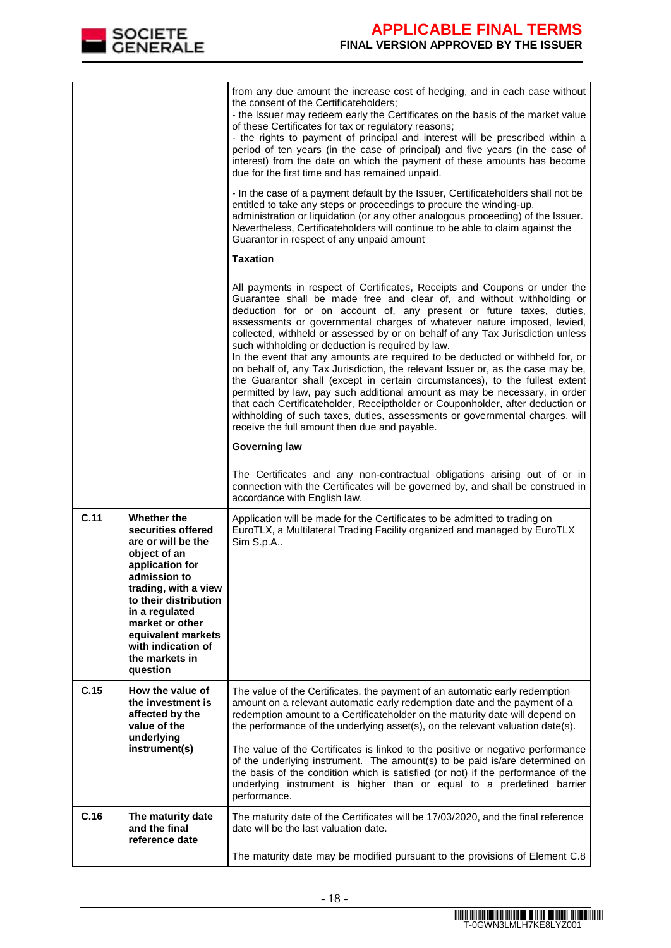

|      |                                                                                                                                                                                                                                                                                   | from any due amount the increase cost of hedging, and in each case without<br>the consent of the Certificateholders;<br>- the Issuer may redeem early the Certificates on the basis of the market value<br>of these Certificates for tax or regulatory reasons;<br>- the rights to payment of principal and interest will be prescribed within a<br>period of ten years (in the case of principal) and five years (in the case of<br>interest) from the date on which the payment of these amounts has become<br>due for the first time and has remained unpaid.<br>- In the case of a payment default by the Issuer, Certificateholders shall not be<br>entitled to take any steps or proceedings to procure the winding-up,<br>administration or liquidation (or any other analogous proceeding) of the Issuer.<br>Nevertheless, Certificateholders will continue to be able to claim against the<br>Guarantor in respect of any unpaid amount                                                   |
|------|-----------------------------------------------------------------------------------------------------------------------------------------------------------------------------------------------------------------------------------------------------------------------------------|----------------------------------------------------------------------------------------------------------------------------------------------------------------------------------------------------------------------------------------------------------------------------------------------------------------------------------------------------------------------------------------------------------------------------------------------------------------------------------------------------------------------------------------------------------------------------------------------------------------------------------------------------------------------------------------------------------------------------------------------------------------------------------------------------------------------------------------------------------------------------------------------------------------------------------------------------------------------------------------------------|
|      |                                                                                                                                                                                                                                                                                   | <b>Taxation</b>                                                                                                                                                                                                                                                                                                                                                                                                                                                                                                                                                                                                                                                                                                                                                                                                                                                                                                                                                                                    |
|      |                                                                                                                                                                                                                                                                                   | All payments in respect of Certificates, Receipts and Coupons or under the<br>Guarantee shall be made free and clear of, and without withholding or<br>deduction for or on account of, any present or future taxes, duties,<br>assessments or governmental charges of whatever nature imposed, levied,<br>collected, withheld or assessed by or on behalf of any Tax Jurisdiction unless<br>such withholding or deduction is required by law.<br>In the event that any amounts are required to be deducted or withheld for, or<br>on behalf of, any Tax Jurisdiction, the relevant Issuer or, as the case may be,<br>the Guarantor shall (except in certain circumstances), to the fullest extent<br>permitted by law, pay such additional amount as may be necessary, in order<br>that each Certificateholder, Receiptholder or Couponholder, after deduction or<br>withholding of such taxes, duties, assessments or governmental charges, will<br>receive the full amount then due and payable. |
|      |                                                                                                                                                                                                                                                                                   | <b>Governing law</b>                                                                                                                                                                                                                                                                                                                                                                                                                                                                                                                                                                                                                                                                                                                                                                                                                                                                                                                                                                               |
|      |                                                                                                                                                                                                                                                                                   | The Certificates and any non-contractual obligations arising out of or in<br>connection with the Certificates will be governed by, and shall be construed in<br>accordance with English law.                                                                                                                                                                                                                                                                                                                                                                                                                                                                                                                                                                                                                                                                                                                                                                                                       |
| C.11 | <b>Whether the</b><br>securities offered<br>are or will be the<br>object of an<br>application for<br>admission to<br>trading, with a view<br>to their distribution<br>in a regulated<br>market or other<br>equivalent markets<br>with indication of<br>the markets in<br>question | Application will be made for the Certificates to be admitted to trading on<br>EuroTLX, a Multilateral Trading Facility organized and managed by EuroTLX<br>Sim S.p.A                                                                                                                                                                                                                                                                                                                                                                                                                                                                                                                                                                                                                                                                                                                                                                                                                               |
| C.15 | How the value of<br>the investment is<br>affected by the<br>value of the<br>underlying<br>instrument(s)                                                                                                                                                                           | The value of the Certificates, the payment of an automatic early redemption<br>amount on a relevant automatic early redemption date and the payment of a<br>redemption amount to a Certificateholder on the maturity date will depend on<br>the performance of the underlying asset(s), on the relevant valuation date(s).<br>The value of the Certificates is linked to the positive or negative performance<br>of the underlying instrument. The amount(s) to be paid is/are determined on<br>the basis of the condition which is satisfied (or not) if the performance of the<br>underlying instrument is higher than or equal to a predefined barrier<br>performance.                                                                                                                                                                                                                                                                                                                          |
| C.16 | The maturity date<br>and the final<br>reference date                                                                                                                                                                                                                              | The maturity date of the Certificates will be 17/03/2020, and the final reference<br>date will be the last valuation date.<br>The maturity date may be modified pursuant to the provisions of Element C.8                                                                                                                                                                                                                                                                                                                                                                                                                                                                                                                                                                                                                                                                                                                                                                                          |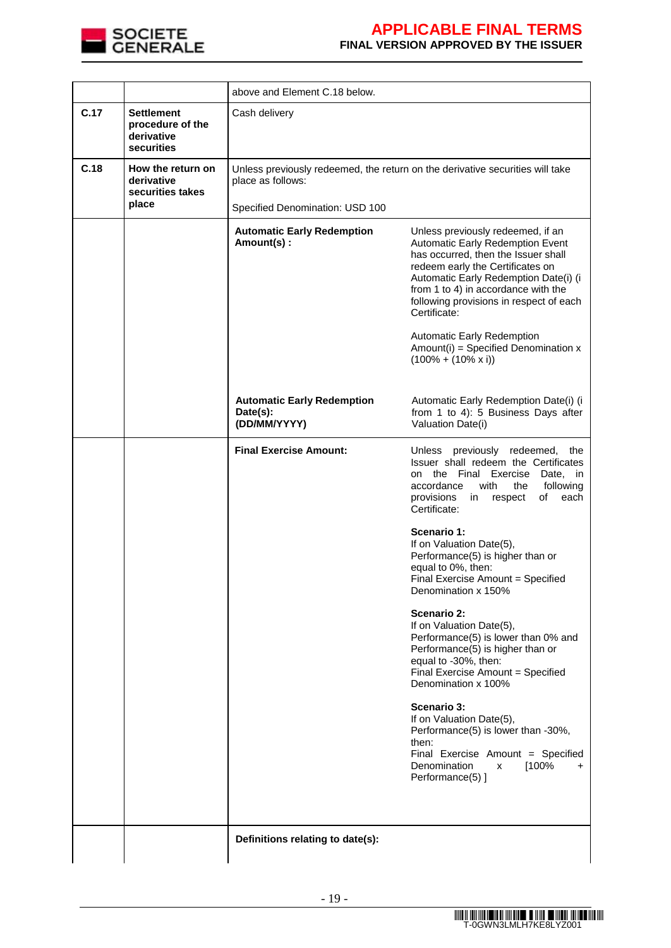

|      |                                                                   | above and Element C.18 below.                                                                                                         |                                                                                                                                                                                                                                                                                             |  |
|------|-------------------------------------------------------------------|---------------------------------------------------------------------------------------------------------------------------------------|---------------------------------------------------------------------------------------------------------------------------------------------------------------------------------------------------------------------------------------------------------------------------------------------|--|
| C.17 | <b>Settlement</b><br>procedure of the<br>derivative<br>securities | Cash delivery                                                                                                                         |                                                                                                                                                                                                                                                                                             |  |
| C.18 | How the return on<br>derivative<br>securities takes<br>place      | Unless previously redeemed, the return on the derivative securities will take<br>place as follows:<br>Specified Denomination: USD 100 |                                                                                                                                                                                                                                                                                             |  |
|      |                                                                   | <b>Automatic Early Redemption</b><br>Amount(s):                                                                                       | Unless previously redeemed, if an<br>Automatic Early Redemption Event<br>has occurred, then the Issuer shall<br>redeem early the Certificates on<br>Automatic Early Redemption Date(i) (i<br>from 1 to 4) in accordance with the<br>following provisions in respect of each<br>Certificate: |  |
|      |                                                                   |                                                                                                                                       | <b>Automatic Early Redemption</b><br>Amount(i) = Specified Denomination $x$<br>$(100\% + (10\% \times i))$                                                                                                                                                                                  |  |
|      |                                                                   | <b>Automatic Early Redemption</b><br>Date(s):<br>(DD/MM/YYYY)                                                                         | Automatic Early Redemption Date(i) (i<br>from 1 to 4): 5 Business Days after<br>Valuation Date(i)                                                                                                                                                                                           |  |
|      |                                                                   | <b>Final Exercise Amount:</b>                                                                                                         | Unless previously redeemed,<br>the<br>Issuer shall redeem the Certificates<br>on the Final Exercise<br>Date, in<br>accordance<br>with<br>the<br>following<br>provisions<br>in<br>respect<br>of<br>each<br>Certificate:                                                                      |  |
|      |                                                                   |                                                                                                                                       | Scenario 1:<br>If on Valuation Date(5),<br>Performance(5) is higher than or<br>equal to 0%, then:<br>Final Exercise Amount = Specified<br>Denomination x 150%                                                                                                                               |  |
|      |                                                                   |                                                                                                                                       | Scenario 2:<br>If on Valuation Date(5),<br>Performance(5) is lower than 0% and<br>Performance(5) is higher than or<br>equal to -30%, then:<br>Final Exercise Amount = Specified<br>Denomination x 100%                                                                                      |  |
|      |                                                                   |                                                                                                                                       | Scenario 3:<br>If on Valuation Date(5),<br>Performance(5) is lower than -30%,<br>then:<br>Final Exercise Amount = Specified<br>Denomination<br>[100%<br>x<br>+<br>Performance(5) ]                                                                                                          |  |
|      |                                                                   | Definitions relating to date(s):                                                                                                      |                                                                                                                                                                                                                                                                                             |  |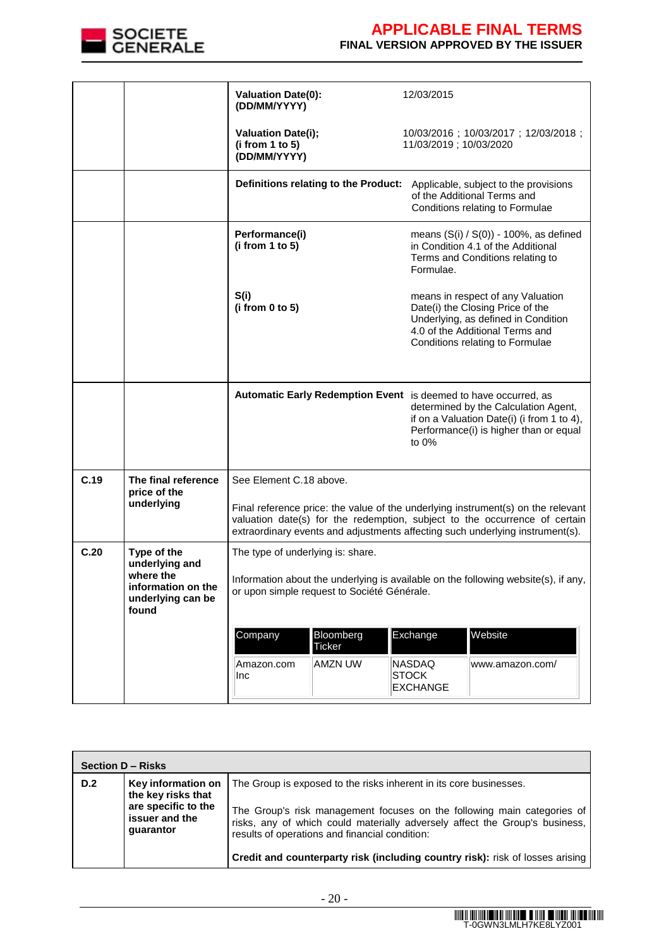

# **APPLICABLE FINAL TERMS**

### **FINAL VERSION APPROVED BY THE ISSUER**

|      |                                                               | <b>Valuation Date(0):</b><br>(DD/MM/YYYY)                                                                                         |                                      | 12/03/2015                                       |                                                                                                                                                                                                                                                 |
|------|---------------------------------------------------------------|-----------------------------------------------------------------------------------------------------------------------------------|--------------------------------------|--------------------------------------------------|-------------------------------------------------------------------------------------------------------------------------------------------------------------------------------------------------------------------------------------------------|
|      |                                                               | <b>Valuation Date(i);</b><br>(i from 1 to 5)<br>(DD/MM/YYYY)                                                                      |                                      | 11/03/2019; 10/03/2020                           | 10/03/2016; 10/03/2017; 12/03/2018;                                                                                                                                                                                                             |
|      |                                                               |                                                                                                                                   | Definitions relating to the Product: |                                                  | Applicable, subject to the provisions<br>of the Additional Terms and<br>Conditions relating to Formulae                                                                                                                                         |
|      |                                                               | Performance(i)<br>(i from 1 to 5)                                                                                                 |                                      | Formulae.                                        | means $(S(i) / S(0))$ - 100%, as defined<br>in Condition 4.1 of the Additional<br>Terms and Conditions relating to                                                                                                                              |
|      |                                                               | S(i)<br>(i from 0 to 5)                                                                                                           |                                      |                                                  | means in respect of any Valuation<br>Date(i) the Closing Price of the<br>Underlying, as defined in Condition<br>4.0 of the Additional Terms and<br>Conditions relating to Formulae                                                              |
|      |                                                               |                                                                                                                                   |                                      | to $0\%$                                         | Automatic Early Redemption Event is deemed to have occurred, as<br>determined by the Calculation Agent,<br>if on a Valuation Date(i) (i from 1 to 4),<br>Performance(i) is higher than or equal                                                 |
| C.19 | The final reference<br>price of the                           | See Element C.18 above.                                                                                                           |                                      |                                                  |                                                                                                                                                                                                                                                 |
|      | underlying                                                    |                                                                                                                                   |                                      |                                                  | Final reference price: the value of the underlying instrument(s) on the relevant<br>valuation date(s) for the redemption, subject to the occurrence of certain<br>extraordinary events and adjustments affecting such underlying instrument(s). |
| C.20 | Type of the<br>underlying and                                 | The type of underlying is: share.                                                                                                 |                                      |                                                  |                                                                                                                                                                                                                                                 |
|      | where the<br>information on the<br>underlying can be<br>found | Information about the underlying is available on the following website(s), if any,<br>or upon simple request to Société Générale. |                                      |                                                  |                                                                                                                                                                                                                                                 |
|      |                                                               | Company                                                                                                                           | Bloomberg<br><b>Ticker</b>           | Exchange                                         | Website                                                                                                                                                                                                                                         |
|      |                                                               | Amazon.com<br>Inc                                                                                                                 | <b>AMZN UW</b>                       | <b>NASDAQ</b><br><b>STOCK</b><br><b>EXCHANGE</b> | www.amazon.com/                                                                                                                                                                                                                                 |

|     | Section D - Risks                                                                 |                                                                                                                                                                                                                              |  |  |  |
|-----|-----------------------------------------------------------------------------------|------------------------------------------------------------------------------------------------------------------------------------------------------------------------------------------------------------------------------|--|--|--|
| D.2 | Key information on<br>the key risks that<br>are specific to the<br>issuer and the | The Group is exposed to the risks inherent in its core businesses.<br>The Group's risk management focuses on the following main categories of<br>risks, any of which could materially adversely affect the Group's business, |  |  |  |
|     | quarantor                                                                         | results of operations and financial condition:<br><b>Credit and counterparty risk (including country risk):</b> risk of losses arising                                                                                       |  |  |  |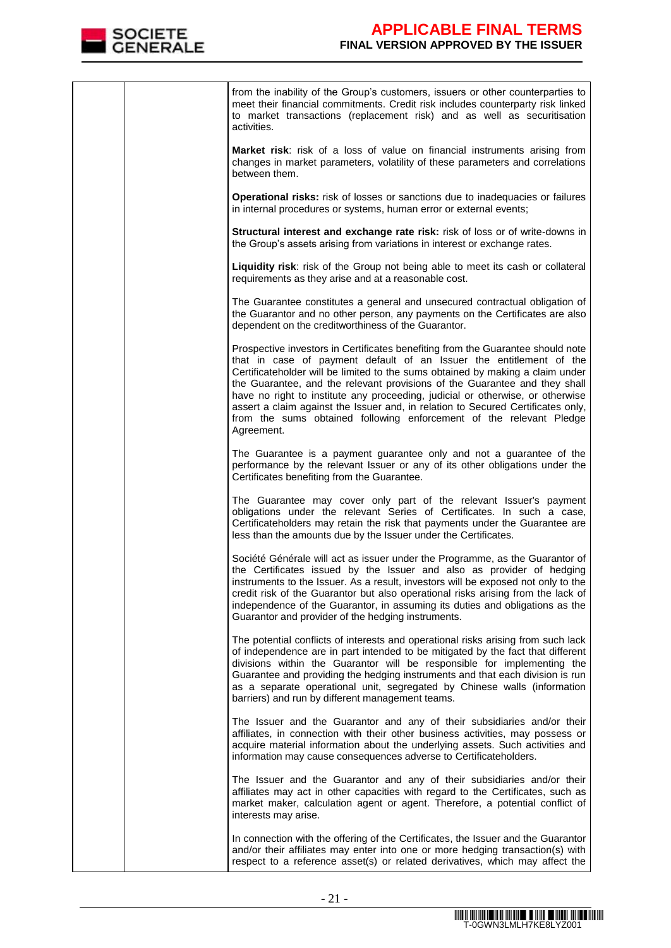

| from the inability of the Group's customers, issuers or other counterparties to<br>meet their financial commitments. Credit risk includes counterparty risk linked<br>to market transactions (replacement risk) and as well as securitisation<br>activities.                                                                                                                                                                                                                                                                                                                      |
|-----------------------------------------------------------------------------------------------------------------------------------------------------------------------------------------------------------------------------------------------------------------------------------------------------------------------------------------------------------------------------------------------------------------------------------------------------------------------------------------------------------------------------------------------------------------------------------|
| Market risk: risk of a loss of value on financial instruments arising from<br>changes in market parameters, volatility of these parameters and correlations<br>between them.                                                                                                                                                                                                                                                                                                                                                                                                      |
| Operational risks: risk of losses or sanctions due to inadequacies or failures<br>in internal procedures or systems, human error or external events;                                                                                                                                                                                                                                                                                                                                                                                                                              |
| Structural interest and exchange rate risk: risk of loss or of write-downs in<br>the Group's assets arising from variations in interest or exchange rates.                                                                                                                                                                                                                                                                                                                                                                                                                        |
| Liquidity risk: risk of the Group not being able to meet its cash or collateral<br>requirements as they arise and at a reasonable cost.                                                                                                                                                                                                                                                                                                                                                                                                                                           |
| The Guarantee constitutes a general and unsecured contractual obligation of<br>the Guarantor and no other person, any payments on the Certificates are also<br>dependent on the creditworthiness of the Guarantor.                                                                                                                                                                                                                                                                                                                                                                |
| Prospective investors in Certificates benefiting from the Guarantee should note<br>that in case of payment default of an Issuer the entitlement of the<br>Certificateholder will be limited to the sums obtained by making a claim under<br>the Guarantee, and the relevant provisions of the Guarantee and they shall<br>have no right to institute any proceeding, judicial or otherwise, or otherwise<br>assert a claim against the Issuer and, in relation to Secured Certificates only,<br>from the sums obtained following enforcement of the relevant Pledge<br>Agreement. |
| The Guarantee is a payment guarantee only and not a guarantee of the<br>performance by the relevant Issuer or any of its other obligations under the<br>Certificates benefiting from the Guarantee.                                                                                                                                                                                                                                                                                                                                                                               |
| The Guarantee may cover only part of the relevant Issuer's payment<br>obligations under the relevant Series of Certificates. In such a case,<br>Certificateholders may retain the risk that payments under the Guarantee are<br>less than the amounts due by the Issuer under the Certificates.                                                                                                                                                                                                                                                                                   |
| Société Générale will act as issuer under the Programme, as the Guarantor of<br>the Certificates issued by the Issuer and also as provider of hedging<br>instruments to the Issuer. As a result, investors will be exposed not only to the<br>credit risk of the Guarantor but also operational risks arising from the lack of<br>independence of the Guarantor, in assuming its duties and obligations as the<br>Guarantor and provider of the hedging instruments.                                                                                                              |
| The potential conflicts of interests and operational risks arising from such lack<br>of independence are in part intended to be mitigated by the fact that different<br>divisions within the Guarantor will be responsible for implementing the<br>Guarantee and providing the hedging instruments and that each division is run<br>as a separate operational unit, segregated by Chinese walls (information<br>barriers) and run by different management teams.                                                                                                                  |
| The Issuer and the Guarantor and any of their subsidiaries and/or their<br>affiliates, in connection with their other business activities, may possess or<br>acquire material information about the underlying assets. Such activities and<br>information may cause consequences adverse to Certificateholders.                                                                                                                                                                                                                                                                   |
| The Issuer and the Guarantor and any of their subsidiaries and/or their<br>affiliates may act in other capacities with regard to the Certificates, such as<br>market maker, calculation agent or agent. Therefore, a potential conflict of<br>interests may arise.                                                                                                                                                                                                                                                                                                                |
| In connection with the offering of the Certificates, the Issuer and the Guarantor<br>and/or their affiliates may enter into one or more hedging transaction(s) with<br>respect to a reference asset(s) or related derivatives, which may affect the                                                                                                                                                                                                                                                                                                                               |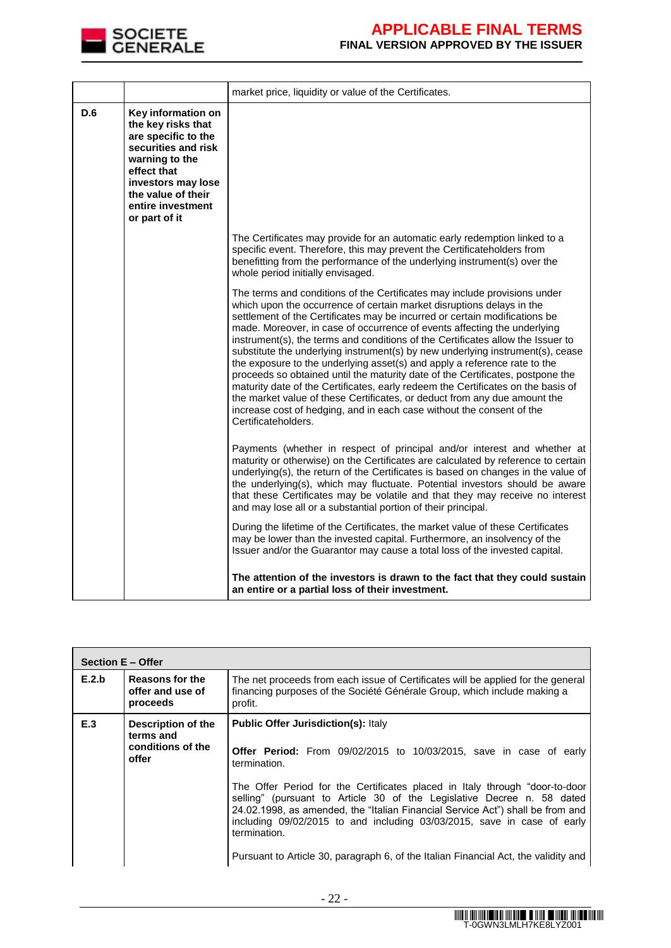

|     |                                                                                                                                                                                                           | market price, liquidity or value of the Certificates.                                                                                                                                                                                                                                                                                                                                                                                                                                                                                                                                                                                                                                                                                                                                                                                                                                                             |
|-----|-----------------------------------------------------------------------------------------------------------------------------------------------------------------------------------------------------------|-------------------------------------------------------------------------------------------------------------------------------------------------------------------------------------------------------------------------------------------------------------------------------------------------------------------------------------------------------------------------------------------------------------------------------------------------------------------------------------------------------------------------------------------------------------------------------------------------------------------------------------------------------------------------------------------------------------------------------------------------------------------------------------------------------------------------------------------------------------------------------------------------------------------|
| D.6 | Key information on<br>the key risks that<br>are specific to the<br>securities and risk<br>warning to the<br>effect that<br>investors may lose<br>the value of their<br>entire investment<br>or part of it |                                                                                                                                                                                                                                                                                                                                                                                                                                                                                                                                                                                                                                                                                                                                                                                                                                                                                                                   |
|     |                                                                                                                                                                                                           | The Certificates may provide for an automatic early redemption linked to a<br>specific event. Therefore, this may prevent the Certificateholders from<br>benefitting from the performance of the underlying instrument(s) over the<br>whole period initially envisaged.                                                                                                                                                                                                                                                                                                                                                                                                                                                                                                                                                                                                                                           |
|     |                                                                                                                                                                                                           | The terms and conditions of the Certificates may include provisions under<br>which upon the occurrence of certain market disruptions delays in the<br>settlement of the Certificates may be incurred or certain modifications be<br>made. Moreover, in case of occurrence of events affecting the underlying<br>instrument(s), the terms and conditions of the Certificates allow the Issuer to<br>substitute the underlying instrument(s) by new underlying instrument(s), cease<br>the exposure to the underlying asset(s) and apply a reference rate to the<br>proceeds so obtained until the maturity date of the Certificates, postpone the<br>maturity date of the Certificates, early redeem the Certificates on the basis of<br>the market value of these Certificates, or deduct from any due amount the<br>increase cost of hedging, and in each case without the consent of the<br>Certificateholders. |
|     |                                                                                                                                                                                                           | Payments (whether in respect of principal and/or interest and whether at<br>maturity or otherwise) on the Certificates are calculated by reference to certain<br>underlying(s), the return of the Certificates is based on changes in the value of<br>the underlying(s), which may fluctuate. Potential investors should be aware<br>that these Certificates may be volatile and that they may receive no interest<br>and may lose all or a substantial portion of their principal.                                                                                                                                                                                                                                                                                                                                                                                                                               |
|     |                                                                                                                                                                                                           | During the lifetime of the Certificates, the market value of these Certificates<br>may be lower than the invested capital. Furthermore, an insolvency of the<br>Issuer and/or the Guarantor may cause a total loss of the invested capital.                                                                                                                                                                                                                                                                                                                                                                                                                                                                                                                                                                                                                                                                       |
|     |                                                                                                                                                                                                           | The attention of the investors is drawn to the fact that they could sustain<br>an entire or a partial loss of their investment.                                                                                                                                                                                                                                                                                                                                                                                                                                                                                                                                                                                                                                                                                                                                                                                   |

|       | <b>Section E - Offer</b>                                      |                                                                                                                                                                                                                                                                                                                                                                                                                                                                                                                                                                      |  |  |
|-------|---------------------------------------------------------------|----------------------------------------------------------------------------------------------------------------------------------------------------------------------------------------------------------------------------------------------------------------------------------------------------------------------------------------------------------------------------------------------------------------------------------------------------------------------------------------------------------------------------------------------------------------------|--|--|
| E.2.b | Reasons for the<br>offer and use of<br>proceeds               | The net proceeds from each issue of Certificates will be applied for the general<br>financing purposes of the Société Générale Group, which include making a<br>profit.                                                                                                                                                                                                                                                                                                                                                                                              |  |  |
| E.3   | Description of the<br>terms and<br>conditions of the<br>offer | <b>Public Offer Jurisdiction(s): Italy</b><br><b>Offer Period:</b> From 09/02/2015 to 10/03/2015, save in case of early<br>termination.<br>The Offer Period for the Certificates placed in Italy through "door-to-door<br>selling" (pursuant to Article 30 of the Legislative Decree n. 58 dated<br>24.02.1998, as amended, the "Italian Financial Service Act") shall be from and<br>including 09/02/2015 to and including 03/03/2015, save in case of early<br>termination.<br>Pursuant to Article 30, paragraph 6, of the Italian Financial Act, the validity and |  |  |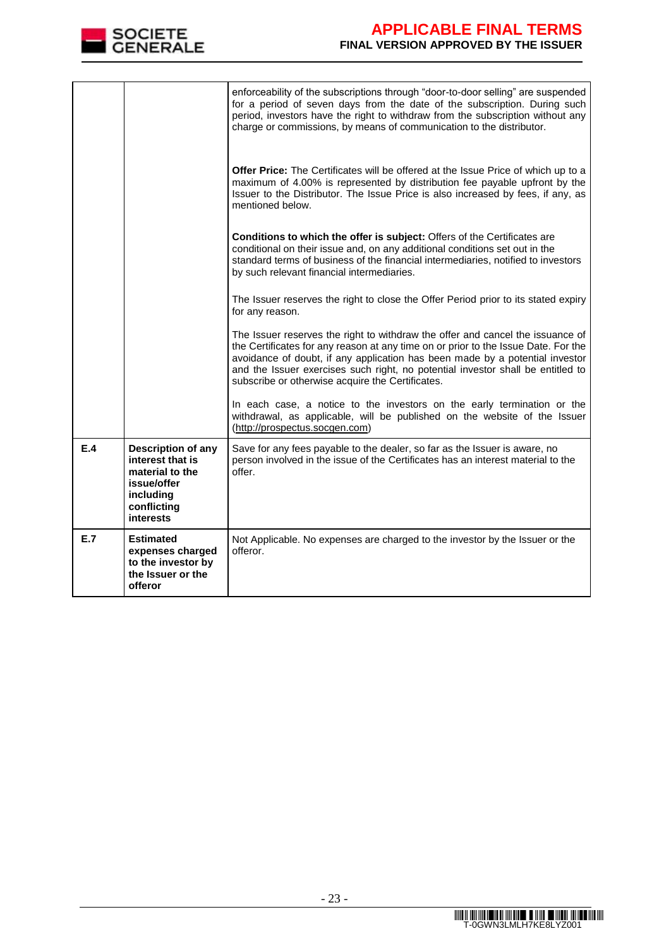

|     |                                                                                                                                 | enforceability of the subscriptions through "door-to-door selling" are suspended<br>for a period of seven days from the date of the subscription. During such<br>period, investors have the right to withdraw from the subscription without any<br>charge or commissions, by means of communication to the distributor.                                                                     |
|-----|---------------------------------------------------------------------------------------------------------------------------------|---------------------------------------------------------------------------------------------------------------------------------------------------------------------------------------------------------------------------------------------------------------------------------------------------------------------------------------------------------------------------------------------|
|     |                                                                                                                                 | Offer Price: The Certificates will be offered at the Issue Price of which up to a<br>maximum of 4.00% is represented by distribution fee payable upfront by the<br>Issuer to the Distributor. The Issue Price is also increased by fees, if any, as<br>mentioned below.                                                                                                                     |
|     |                                                                                                                                 | Conditions to which the offer is subject: Offers of the Certificates are<br>conditional on their issue and, on any additional conditions set out in the<br>standard terms of business of the financial intermediaries, notified to investors<br>by such relevant financial intermediaries.                                                                                                  |
|     |                                                                                                                                 | The Issuer reserves the right to close the Offer Period prior to its stated expiry<br>for any reason.                                                                                                                                                                                                                                                                                       |
|     |                                                                                                                                 | The Issuer reserves the right to withdraw the offer and cancel the issuance of<br>the Certificates for any reason at any time on or prior to the Issue Date. For the<br>avoidance of doubt, if any application has been made by a potential investor<br>and the Issuer exercises such right, no potential investor shall be entitled to<br>subscribe or otherwise acquire the Certificates. |
|     |                                                                                                                                 | In each case, a notice to the investors on the early termination or the<br>withdrawal, as applicable, will be published on the website of the Issuer<br>(http://prospectus.socgen.com)                                                                                                                                                                                                      |
| E.4 | <b>Description of any</b><br>interest that is<br>material to the<br>issue/offer<br>including<br>conflicting<br><b>interests</b> | Save for any fees payable to the dealer, so far as the Issuer is aware, no<br>person involved in the issue of the Certificates has an interest material to the<br>offer.                                                                                                                                                                                                                    |
| E.7 | <b>Estimated</b><br>expenses charged<br>to the investor by<br>the Issuer or the<br>offeror                                      | Not Applicable. No expenses are charged to the investor by the Issuer or the<br>offeror.                                                                                                                                                                                                                                                                                                    |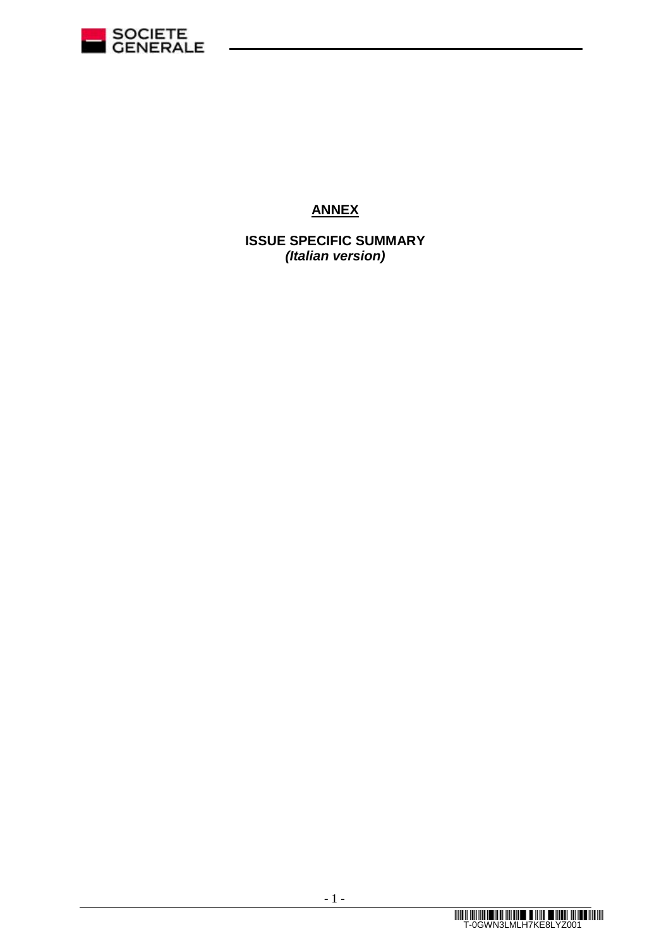

# **ANNEX**

**ISSUE SPECIFIC SUMMARY** *(Italian version)*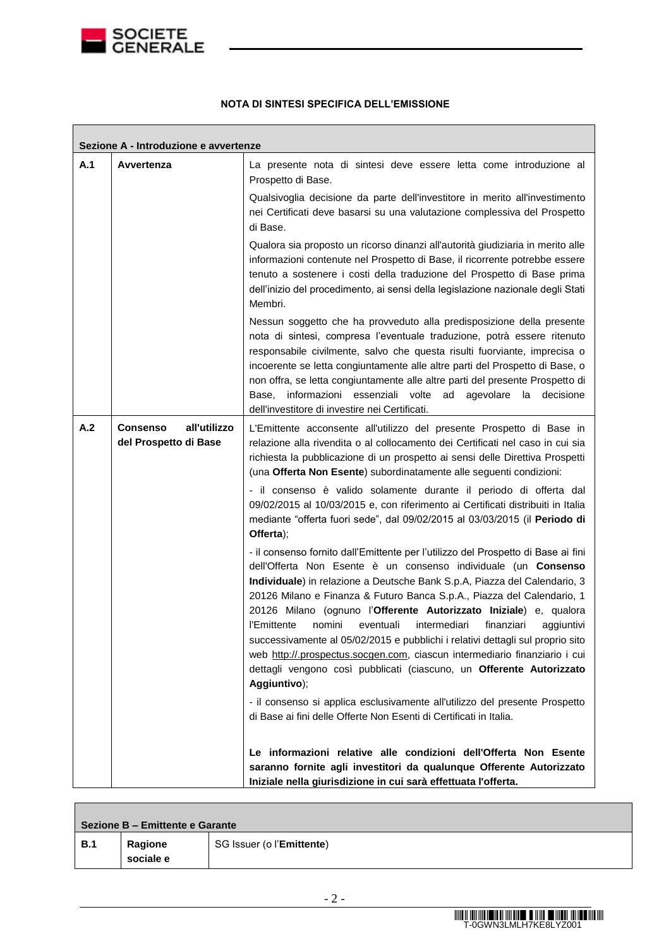

 $\overline{\phantom{a}}$ 

### **NOTA DI SINTESI SPECIFICA DELL'EMISSIONE**

|     | Sezione A - Introduzione e avvertenze                    |                                                                                                                                                                                                                                                                                                                                                                                                                                                                                                                                                                                                                                                                                                                           |
|-----|----------------------------------------------------------|---------------------------------------------------------------------------------------------------------------------------------------------------------------------------------------------------------------------------------------------------------------------------------------------------------------------------------------------------------------------------------------------------------------------------------------------------------------------------------------------------------------------------------------------------------------------------------------------------------------------------------------------------------------------------------------------------------------------------|
| A.1 | Avvertenza                                               | La presente nota di sintesi deve essere letta come introduzione al<br>Prospetto di Base.                                                                                                                                                                                                                                                                                                                                                                                                                                                                                                                                                                                                                                  |
|     |                                                          | Qualsivoglia decisione da parte dell'investitore in merito all'investimento<br>nei Certificati deve basarsi su una valutazione complessiva del Prospetto<br>di Base.                                                                                                                                                                                                                                                                                                                                                                                                                                                                                                                                                      |
|     |                                                          | Qualora sia proposto un ricorso dinanzi all'autorità giudiziaria in merito alle<br>informazioni contenute nel Prospetto di Base, il ricorrente potrebbe essere<br>tenuto a sostenere i costi della traduzione del Prospetto di Base prima<br>dell'inizio del procedimento, ai sensi della legislazione nazionale degli Stati<br>Membri.                                                                                                                                                                                                                                                                                                                                                                                   |
|     |                                                          | Nessun soggetto che ha provveduto alla predisposizione della presente<br>nota di sintesi, compresa l'eventuale traduzione, potrà essere ritenuto<br>responsabile civilmente, salvo che questa risulti fuorviante, imprecisa o<br>incoerente se letta congiuntamente alle altre parti del Prospetto di Base, o<br>non offra, se letta congiuntamente alle altre parti del presente Prospetto di<br>informazioni essenziali volte ad agevolare<br>la<br>decisione<br>Base.<br>dell'investitore di investire nei Certificati.                                                                                                                                                                                                |
| A.2 | all'utilizzo<br><b>Consenso</b><br>del Prospetto di Base | L'Emittente acconsente all'utilizzo del presente Prospetto di Base in<br>relazione alla rivendita o al collocamento dei Certificati nel caso in cui sia<br>richiesta la pubblicazione di un prospetto ai sensi delle Direttiva Prospetti<br>(una Offerta Non Esente) subordinatamente alle seguenti condizioni:                                                                                                                                                                                                                                                                                                                                                                                                           |
|     |                                                          | - il consenso è valido solamente durante il periodo di offerta dal<br>09/02/2015 al 10/03/2015 e, con riferimento ai Certificati distribuiti in Italia<br>mediante "offerta fuori sede", dal 09/02/2015 al 03/03/2015 (il Periodo di<br>Offerta);                                                                                                                                                                                                                                                                                                                                                                                                                                                                         |
|     |                                                          | - il consenso fornito dall'Emittente per l'utilizzo del Prospetto di Base ai fini<br>dell'Offerta Non Esente è un consenso individuale (un Consenso<br>Individuale) in relazione a Deutsche Bank S.p.A, Piazza del Calendario, 3<br>20126 Milano e Finanza & Futuro Banca S.p.A., Piazza del Calendario, 1<br>20126 Milano (ognuno l'Offerente Autorizzato Iniziale) e, qualora<br>nomini<br>intermediari<br>finanziari<br>l'Emittente<br>eventuali<br>aggiuntivi<br>successivamente al 05/02/2015 e pubblichi i relativi dettagli sul proprio sito<br>web http://.prospectus.socgen.com, ciascun intermediario finanziario i cui<br>dettagli vengono così pubblicati (ciascuno, un Offerente Autorizzato<br>Aggiuntivo); |
|     |                                                          | - il consenso si applica esclusivamente all'utilizzo del presente Prospetto<br>di Base ai fini delle Offerte Non Esenti di Certificati in Italia.                                                                                                                                                                                                                                                                                                                                                                                                                                                                                                                                                                         |
|     |                                                          | Le informazioni relative alle condizioni dell'Offerta Non Esente<br>saranno fornite agli investitori da qualunque Offerente Autorizzato<br>Iniziale nella giurisdizione in cui sarà effettuata l'offerta.                                                                                                                                                                                                                                                                                                                                                                                                                                                                                                                 |

| Sezione B - Emittente e Garante |           |                                    |  |  |  |
|---------------------------------|-----------|------------------------------------|--|--|--|
| <b>B.1</b>                      | Ragione   | SG Issuer (o l' <b>Emittente</b> ) |  |  |  |
|                                 | sociale e |                                    |  |  |  |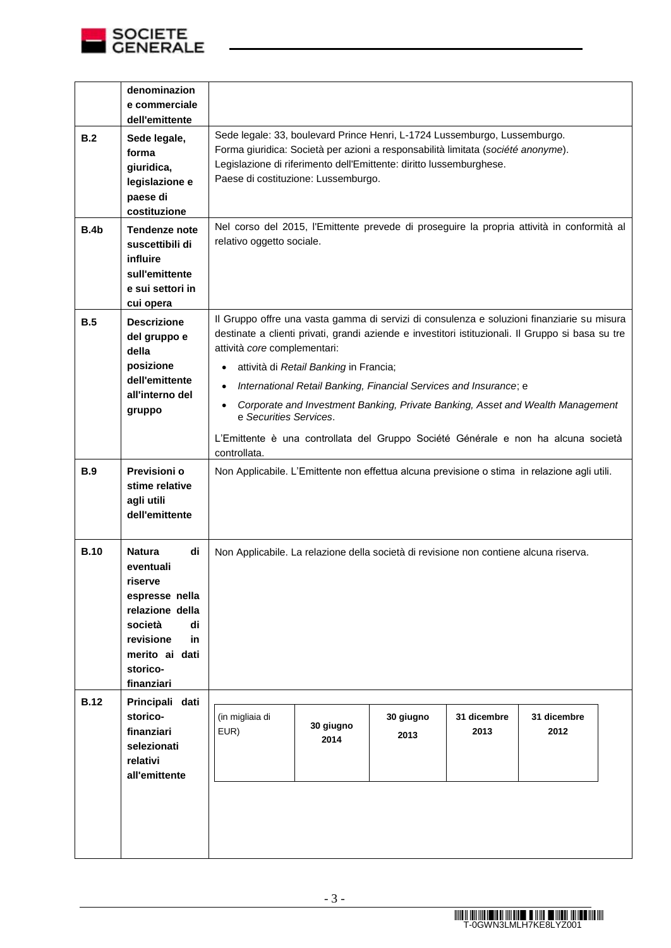

|             | denominazion<br>e commerciale<br>dell'emittente                                                                                                                  |                                                                                                                                                                                                                                                                                                                                                                                                                                                                                                                                                 |                                                                                                                         |                   |                     |                     |  |  |  |
|-------------|------------------------------------------------------------------------------------------------------------------------------------------------------------------|-------------------------------------------------------------------------------------------------------------------------------------------------------------------------------------------------------------------------------------------------------------------------------------------------------------------------------------------------------------------------------------------------------------------------------------------------------------------------------------------------------------------------------------------------|-------------------------------------------------------------------------------------------------------------------------|-------------------|---------------------|---------------------|--|--|--|
| B.2         | Sede legale,<br>forma<br>giuridica,<br>legislazione e<br>paese di<br>costituzione                                                                                | Sede legale: 33, boulevard Prince Henri, L-1724 Lussemburgo, Lussemburgo.<br>Forma giuridica: Società per azioni a responsabilità limitata (société anonyme).<br>Legislazione di riferimento dell'Emittente: diritto lussemburghese.<br>Paese di costituzione: Lussemburgo.                                                                                                                                                                                                                                                                     |                                                                                                                         |                   |                     |                     |  |  |  |
| <b>B.4b</b> | <b>Tendenze note</b><br>suscettibili di<br>influire<br>sull'emittente<br>e sui settori in<br>cui opera                                                           |                                                                                                                                                                                                                                                                                                                                                                                                                                                                                                                                                 | Nel corso del 2015, l'Emittente prevede di proseguire la propria attività in conformità al<br>relativo oggetto sociale. |                   |                     |                     |  |  |  |
| B.5         | <b>Descrizione</b><br>del gruppo e<br>della<br>posizione<br>dell'emittente<br>all'interno del<br>gruppo                                                          | Il Gruppo offre una vasta gamma di servizi di consulenza e soluzioni finanziarie su misura<br>destinate a clienti privati, grandi aziende e investitori istituzionali. Il Gruppo si basa su tre<br>attività core complementari:<br>attività di Retail Banking in Francia;<br>International Retail Banking, Financial Services and Insurance; e<br>Corporate and Investment Banking, Private Banking, Asset and Wealth Management<br>e Securities Services.<br>L'Emittente è una controllata del Gruppo Société Générale e non ha alcuna società |                                                                                                                         |                   |                     |                     |  |  |  |
| <b>B.9</b>  | Previsioni o<br>stime relative<br>agli utili<br>dell'emittente                                                                                                   | Non Applicabile. L'Emittente non effettua alcuna previsione o stima in relazione agli utili.                                                                                                                                                                                                                                                                                                                                                                                                                                                    |                                                                                                                         |                   |                     |                     |  |  |  |
| <b>B.10</b> | di<br><b>Natura</b><br>eventuali<br>riserve<br>espresse nella<br>relazione della<br>di<br>società<br>revisione<br>in<br>merito ai dati<br>storico-<br>finanziari | Non Applicabile. La relazione della società di revisione non contiene alcuna riserva.                                                                                                                                                                                                                                                                                                                                                                                                                                                           |                                                                                                                         |                   |                     |                     |  |  |  |
| <b>B.12</b> | Principali dati<br>storico-<br>finanziari<br>selezionati<br>relativi<br>all'emittente                                                                            | (in migliaia di<br>EUR)                                                                                                                                                                                                                                                                                                                                                                                                                                                                                                                         | 30 giugno<br>2014                                                                                                       | 30 giugno<br>2013 | 31 dicembre<br>2013 | 31 dicembre<br>2012 |  |  |  |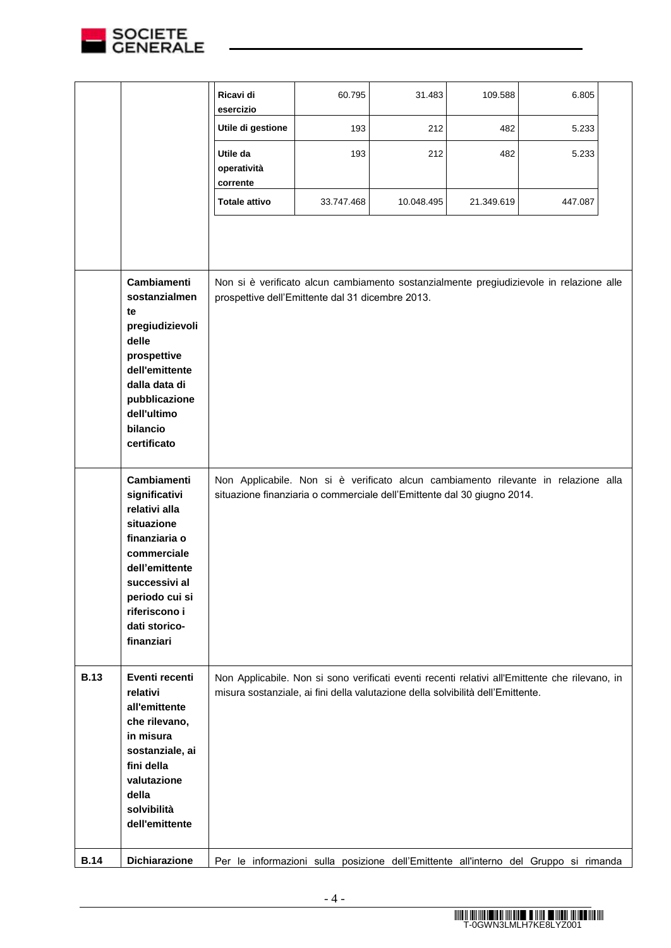

|             |                                                                                                                                                                                                         | Ricavi di<br>esercizio                                                                                                                                                            | 60.795     | 31.483     | 109.588    | 6.805   |  |
|-------------|---------------------------------------------------------------------------------------------------------------------------------------------------------------------------------------------------------|-----------------------------------------------------------------------------------------------------------------------------------------------------------------------------------|------------|------------|------------|---------|--|
|             |                                                                                                                                                                                                         | Utile di gestione                                                                                                                                                                 | 193        | 212        | 482        | 5.233   |  |
|             |                                                                                                                                                                                                         | Utile da<br>operatività<br>corrente                                                                                                                                               | 193        | 212        | 482        | 5.233   |  |
|             |                                                                                                                                                                                                         | <b>Totale attivo</b>                                                                                                                                                              | 33.747.468 | 10.048.495 | 21.349.619 | 447.087 |  |
|             |                                                                                                                                                                                                         |                                                                                                                                                                                   |            |            |            |         |  |
|             | Cambiamenti<br>sostanzialmen<br>te<br>pregiudizievoli<br>delle<br>prospettive<br>dell'emittente<br>dalla data di<br>pubblicazione<br>dell'ultimo<br>bilancio<br>certificato                             | Non si è verificato alcun cambiamento sostanzialmente pregiudizievole in relazione alle<br>prospettive dell'Emittente dal 31 dicembre 2013.                                       |            |            |            |         |  |
|             | <b>Cambiamenti</b><br>significativi<br>relativi alla<br>situazione<br>finanziaria o<br>commerciale<br>dell'emittente<br>successivi al<br>periodo cui si<br>riferiscono i<br>dati storico-<br>finanziari | Non Applicabile. Non si è verificato alcun cambiamento rilevante in relazione alla<br>situazione finanziaria o commerciale dell'Emittente dal 30 giugno 2014.                     |            |            |            |         |  |
| <b>B.13</b> | Eventi recenti<br>relativi<br>all'emittente<br>che rilevano,<br>in misura<br>sostanziale, ai<br>fini della<br>valutazione<br>della<br>solvibilità<br>dell'emittente                                     | Non Applicabile. Non si sono verificati eventi recenti relativi all'Emittente che rilevano, in<br>misura sostanziale, ai fini della valutazione della solvibilità dell'Emittente. |            |            |            |         |  |
| <b>B.14</b> | <b>Dichiarazione</b>                                                                                                                                                                                    | Per le informazioni sulla posizione dell'Emittente all'interno del Gruppo si rimanda                                                                                              |            |            |            |         |  |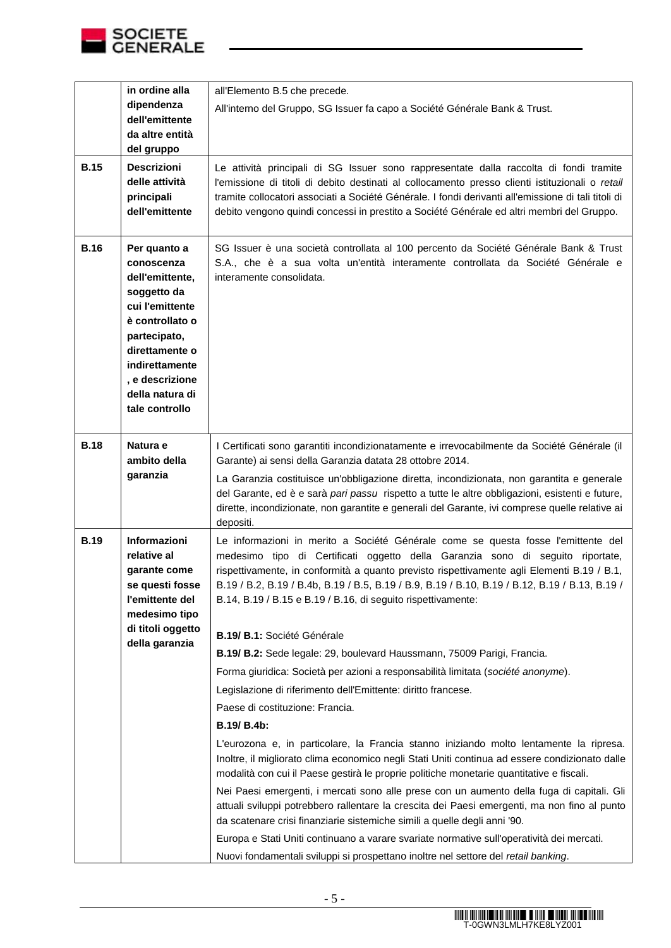

|             | in ordine alla                     | all'Elemento B.5 che precede.                                                                                                                                                |
|-------------|------------------------------------|------------------------------------------------------------------------------------------------------------------------------------------------------------------------------|
|             | dipendenza                         | All'interno del Gruppo, SG Issuer fa capo a Société Générale Bank & Trust.                                                                                                   |
|             | dell'emittente<br>da altre entità  |                                                                                                                                                                              |
|             | del gruppo                         |                                                                                                                                                                              |
| <b>B.15</b> | <b>Descrizioni</b>                 | Le attività principali di SG Issuer sono rappresentate dalla raccolta di fondi tramite                                                                                       |
|             | delle attività                     | l'emissione di titoli di debito destinati al collocamento presso clienti istituzionali o retail                                                                              |
|             | principali                         | tramite collocatori associati a Société Générale. I fondi derivanti all'emissione di tali titoli di                                                                          |
|             | dell'emittente                     | debito vengono quindi concessi in prestito a Société Générale ed altri membri del Gruppo.                                                                                    |
|             |                                    |                                                                                                                                                                              |
| <b>B.16</b> | Per quanto a                       | SG Issuer è una società controllata al 100 percento da Société Générale Bank & Trust                                                                                         |
|             | conoscenza                         | S.A., che è a sua volta un'entità interamente controllata da Société Générale e                                                                                              |
|             | dell'emittente,                    | interamente consolidata.                                                                                                                                                     |
|             | soggetto da<br>cui l'emittente     |                                                                                                                                                                              |
|             | è controllato o                    |                                                                                                                                                                              |
|             | partecipato,                       |                                                                                                                                                                              |
|             | direttamente o                     |                                                                                                                                                                              |
|             | indirettamente                     |                                                                                                                                                                              |
|             | , e descrizione<br>della natura di |                                                                                                                                                                              |
|             | tale controllo                     |                                                                                                                                                                              |
|             |                                    |                                                                                                                                                                              |
| <b>B.18</b> | Natura e                           | I Certificati sono garantiti incondizionatamente e irrevocabilmente da Société Générale (il                                                                                  |
|             | ambito della                       | Garante) ai sensi della Garanzia datata 28 ottobre 2014.                                                                                                                     |
|             | garanzia                           | La Garanzia costituisce un'obbligazione diretta, incondizionata, non garantita e generale                                                                                    |
|             |                                    | del Garante, ed è e sarà pari passu rispetto a tutte le altre obbligazioni, esistenti e future,                                                                              |
|             |                                    | dirette, incondizionate, non garantite e generali del Garante, ivi comprese quelle relative ai                                                                               |
|             |                                    | depositi.                                                                                                                                                                    |
| <b>B.19</b> | Informazioni                       | Le informazioni in merito a Société Générale come se questa fosse l'emittente del                                                                                            |
|             | relative al<br>garante come        | medesimo tipo di Certificati oggetto della Garanzia sono di seguito riportate,<br>rispettivamente, in conformità a quanto previsto rispettivamente agli Elementi B.19 / B.1, |
|             | se questi fosse                    | B.19 / B.2, B.19 / B.4b, B.19 / B.5, B.19 / B.9, B.19 / B.10, B.19 / B.12, B.19 / B.13, B.19 /                                                                               |
|             | l'emittente del                    | B.14, B.19 / B.15 e B.19 / B.16, di seguito rispettivamente:                                                                                                                 |
|             | medesimo tipo                      |                                                                                                                                                                              |
|             | di titoli oggetto                  | B.19/ B.1: Société Générale                                                                                                                                                  |
|             | della garanzia                     | B.19/ B.2: Sede legale: 29, boulevard Haussmann, 75009 Parigi, Francia.                                                                                                      |
|             |                                    | Forma giuridica: Società per azioni a responsabilità limitata (société anonyme).                                                                                             |
|             |                                    | Legislazione di riferimento dell'Emittente: diritto francese.                                                                                                                |
|             |                                    | Paese di costituzione: Francia.                                                                                                                                              |
|             |                                    | B.19/ B.4b:                                                                                                                                                                  |
|             |                                    | L'eurozona e, in particolare, la Francia stanno iniziando molto lentamente la ripresa.                                                                                       |
|             |                                    | Inoltre, il migliorato clima economico negli Stati Uniti continua ad essere condizionato dalle                                                                               |
|             |                                    | modalità con cui il Paese gestirà le proprie politiche monetarie quantitative e fiscali.                                                                                     |
|             |                                    | Nei Paesi emergenti, i mercati sono alle prese con un aumento della fuga di capitali. Gli                                                                                    |
|             |                                    | attuali sviluppi potrebbero rallentare la crescita dei Paesi emergenti, ma non fino al punto                                                                                 |
|             |                                    | da scatenare crisi finanziarie sistemiche simili a quelle degli anni '90.                                                                                                    |
|             |                                    | Europa e Stati Uniti continuano a varare svariate normative sull'operatività dei mercati.                                                                                    |
|             |                                    | Nuovi fondamentali sviluppi si prospettano inoltre nel settore del retail banking.                                                                                           |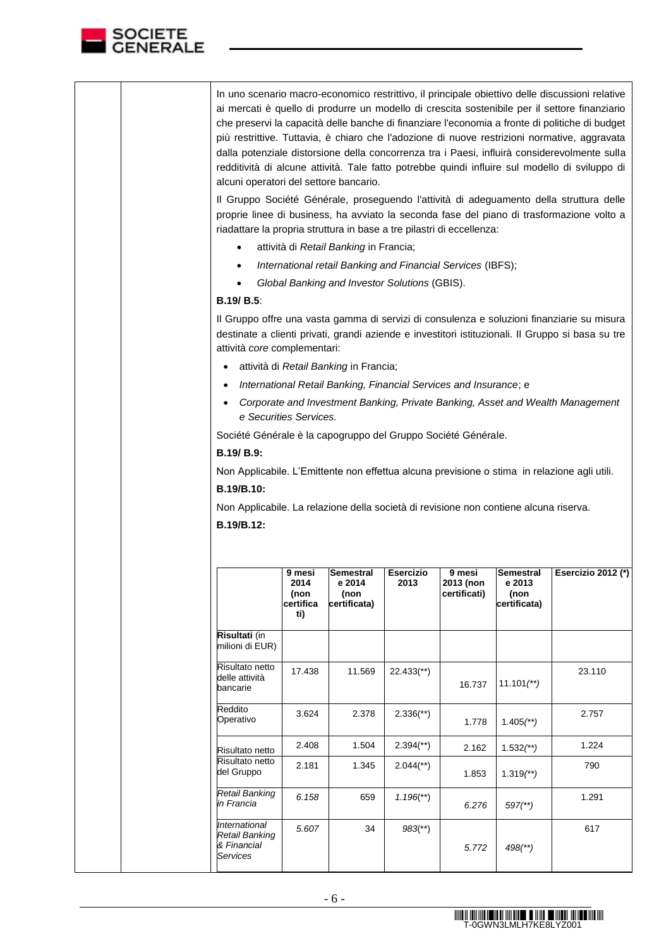

| In uno scenario macro-economico restrittivo, il principale obiettivo delle discussioni relative<br>ai mercati è quello di produrre un modello di crescita sostenibile per il settore finanziario<br>che preservi la capacità delle banche di finanziare l'economia a fronte di politiche di budget<br>più restrittive. Tuttavia, è chiaro che l'adozione di nuove restrizioni normative, aggravata<br>dalla potenziale distorsione della concorrenza tra i Paesi, influirà considerevolmente sulla<br>redditività di alcune attività. Tale fatto potrebbe quindi influire sul modello di sviluppo di<br>alcuni operatori del settore bancario. |
|------------------------------------------------------------------------------------------------------------------------------------------------------------------------------------------------------------------------------------------------------------------------------------------------------------------------------------------------------------------------------------------------------------------------------------------------------------------------------------------------------------------------------------------------------------------------------------------------------------------------------------------------|
| Il Gruppo Société Générale, proseguendo l'attività di adeguamento della struttura delle<br>proprie linee di business, ha avviato la seconda fase del piano di trasformazione volto a<br>riadattare la propria struttura in base a tre pilastri di eccellenza:                                                                                                                                                                                                                                                                                                                                                                                  |
| attività di Retail Banking in Francia;                                                                                                                                                                                                                                                                                                                                                                                                                                                                                                                                                                                                         |
| International retail Banking and Financial Services (IBFS);                                                                                                                                                                                                                                                                                                                                                                                                                                                                                                                                                                                    |
| Global Banking and Investor Solutions (GBIS).                                                                                                                                                                                                                                                                                                                                                                                                                                                                                                                                                                                                  |
| B.19/B.5                                                                                                                                                                                                                                                                                                                                                                                                                                                                                                                                                                                                                                       |
| $\mathsf I$ Cruppe offre upo vecto geomeo di convisi di conculenze e coluzioni finenziario cu micuro                                                                                                                                                                                                                                                                                                                                                                                                                                                                                                                                           |

Il Gruppo offre una vasta gamma di servizi di consulenza e soluzioni finanziarie su misura destinate a clienti privati, grandi aziende e investitori istituzionali. Il Gruppo si basa su tre attività *core* complementari:

- attività di *Retail Banking* in Francia;
- *International Retail Banking, Financial Services and Insurance*; e
- *Corporate and Investment Banking, Private Banking, Asset and Wealth Management e Securities Services.*

Société Générale è la capogruppo del Gruppo Société Générale.

**B.19/ B.9:**

Non Applicabile. L'Emittente non effettua alcuna previsione o stima in relazione agli utili. **B.19/B.10:**

Non Applicabile. La relazione della società di revisione non contiene alcuna riserva. **B.19/B.12:**

|                                                                          | 9 mesi<br>2014<br>(non<br>certifica<br>ti) | Semestral<br>e 2014<br>(non<br>certificata) | Esercizio<br>2013         | 9 mesi<br>2013 (non<br>certificati) | <b>Semestral</b><br>e 2013<br>(non<br>certificata) | Esercizio 2012 (*) |
|--------------------------------------------------------------------------|--------------------------------------------|---------------------------------------------|---------------------------|-------------------------------------|----------------------------------------------------|--------------------|
| Risultati (in<br>milioni di EUR)                                         |                                            |                                             |                           |                                     |                                                    |                    |
| Risultato netto<br>delle attività<br>bancarie                            | 17.438                                     | 11.569                                      | $22.433$ <sup>**</sup> )  | 16.737                              | $11.101$ <sup>**</sup> )                           | 23.110             |
| Reddito<br>Operativo                                                     | 3.624                                      | 2.378                                       | $2.336$ <sup>(**)</sup> ) | 1.778                               | $1.405$ <sup>**</sup> )                            | 2.757              |
| Risultato netto                                                          | 2.408                                      | 1.504                                       | $2.394$ <sup>(**)</sup> ) | 2.162                               | $1.532$ <sup>**</sup> )                            | 1.224              |
| Risultato netto<br>del Gruppo                                            | 2.181                                      | 1.345                                       | $2.044$ <sup>(**)</sup> ) | 1.853                               | $1.319$ <sup>**</sup> )                            | 790                |
| Retail Banking<br>in Francia                                             | 6.158                                      | 659                                         | $1.196$ <sup>**</sup> )   | 6.276                               | $597$ <sup>(**)</sup>                              | 1.291              |
| <i><b>International</b></i><br>Retail Banking<br>& Financial<br>Services | 5.607                                      | 34                                          | $983$ <sup>**</sup> )     | 5.772                               | $498$ <sup>(**)</sup> )                            | 617                |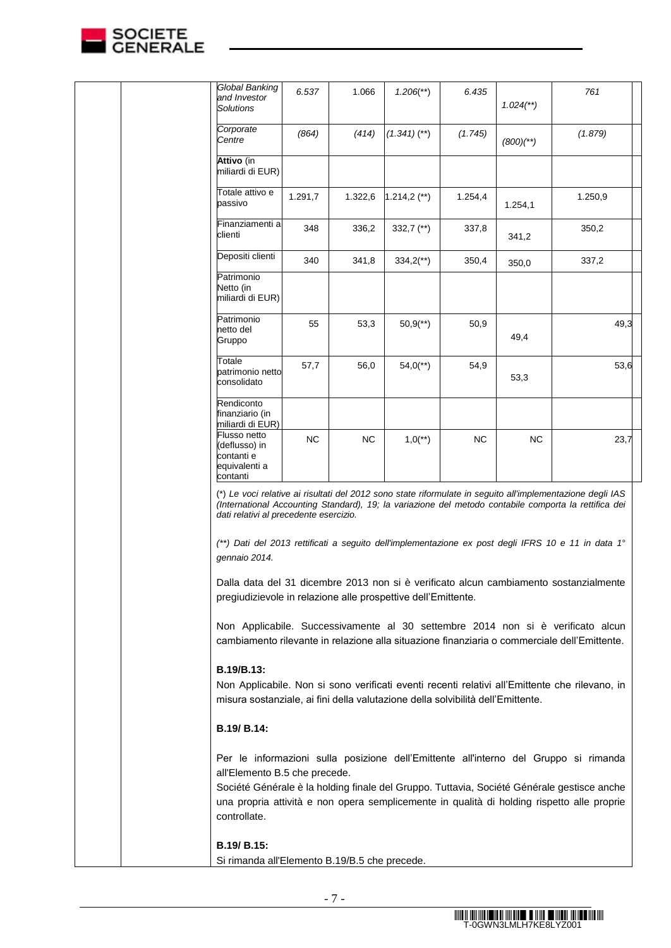

| Global Banking<br>and Investor<br><b>Solutions</b>                                                                                                                                                                                       | 6.537     | 1.066     | $1.206$ <sup>**</sup> ) | 6.435     | $1.024$ <sup>**</sup> ) | 761                                                                                                                                                                                                                                                                                                                                                                                                                                                                                                                                                                                                                                                                                                      |  |
|------------------------------------------------------------------------------------------------------------------------------------------------------------------------------------------------------------------------------------------|-----------|-----------|-------------------------|-----------|-------------------------|----------------------------------------------------------------------------------------------------------------------------------------------------------------------------------------------------------------------------------------------------------------------------------------------------------------------------------------------------------------------------------------------------------------------------------------------------------------------------------------------------------------------------------------------------------------------------------------------------------------------------------------------------------------------------------------------------------|--|
| Corporate<br>Centre                                                                                                                                                                                                                      | (864)     | (414)     | $(1.341)$ (**)          | (1.745)   | $(800)'^{*})$           | (1.879)                                                                                                                                                                                                                                                                                                                                                                                                                                                                                                                                                                                                                                                                                                  |  |
| Attivo (in<br>miliardi di EUR)                                                                                                                                                                                                           |           |           |                         |           |                         |                                                                                                                                                                                                                                                                                                                                                                                                                                                                                                                                                                                                                                                                                                          |  |
| Totale attivo e<br>passivo                                                                                                                                                                                                               | 1.291,7   | 1.322,6   | $1.214,2$ (**)          | 1.254,4   | 1.254,1                 | 1.250,9                                                                                                                                                                                                                                                                                                                                                                                                                                                                                                                                                                                                                                                                                                  |  |
| Finanziamenti a<br>clienti                                                                                                                                                                                                               | 348       | 336,2     | 332,7 $(**)$            | 337,8     | 341,2                   | 350,2                                                                                                                                                                                                                                                                                                                                                                                                                                                                                                                                                                                                                                                                                                    |  |
| Depositi clienti                                                                                                                                                                                                                         | 340       | 341,8     | $334,2$ <sup>**</sup> ) | 350,4     | 350,0                   | 337,2                                                                                                                                                                                                                                                                                                                                                                                                                                                                                                                                                                                                                                                                                                    |  |
| Patrimonio<br>Netto (in<br>miliardi di EUR)                                                                                                                                                                                              |           |           |                         |           |                         |                                                                                                                                                                                                                                                                                                                                                                                                                                                                                                                                                                                                                                                                                                          |  |
| Patrimonio<br>netto del<br>Gruppo                                                                                                                                                                                                        | 55        | 53,3      | $50,9$ <sup>**</sup> )  | 50,9      | 49,4                    | 49,3                                                                                                                                                                                                                                                                                                                                                                                                                                                                                                                                                                                                                                                                                                     |  |
| Totale<br>patrimonio netto<br>consolidato                                                                                                                                                                                                | 57,7      | 56,0      | $54,0$ <sup>**</sup> )  | 54,9      | 53,3                    | 53,6                                                                                                                                                                                                                                                                                                                                                                                                                                                                                                                                                                                                                                                                                                     |  |
| Rendiconto<br>finanziario (in<br>miliardi di EUR)                                                                                                                                                                                        |           |           |                         |           |                         |                                                                                                                                                                                                                                                                                                                                                                                                                                                                                                                                                                                                                                                                                                          |  |
| Flusso netto<br>(deflusso) in<br>contanti e<br>equivalenti a<br>contanti                                                                                                                                                                 | <b>NC</b> | <b>NC</b> | $1,0$ <sup>**</sup> )   | <b>NC</b> | <b>NC</b>               | 23,7                                                                                                                                                                                                                                                                                                                                                                                                                                                                                                                                                                                                                                                                                                     |  |
| dati relativi al precedente esercizio.<br>gennaio 2014.<br>pregiudizievole in relazione alle prospettive dell'Emittente.<br>B.19/B.13:<br>misura sostanziale, ai fini della valutazione della solvibilità dell'Emittente.<br>B.19/ B.14: |           |           |                         |           |                         | (*) Le voci relative ai risultati del 2012 sono state riformulate in seguito all'implementazione degli IAS<br>(International Accounting Standard), 19; la variazione del metodo contabile comporta la rettifica dei<br>(**) Dati del 2013 rettificati a seguito dell'implementazione ex post degli IFRS 10 e 11 in data 1°<br>Dalla data del 31 dicembre 2013 non si è verificato alcun cambiamento sostanzialmente<br>Non Applicabile. Successivamente al 30 settembre 2014 non si è verificato alcun<br>cambiamento rilevante in relazione alla situazione finanziaria o commerciale dell'Emittente.<br>Non Applicabile. Non si sono verificati eventi recenti relativi all'Emittente che rilevano, in |  |
| all'Elemento B.5 che precede.<br>controllate.                                                                                                                                                                                            |           |           |                         |           |                         | Per le informazioni sulla posizione dell'Emittente all'interno del Gruppo si rimanda<br>Société Générale è la holding finale del Gruppo. Tuttavia, Société Générale gestisce anche<br>una propria attività e non opera semplicemente in qualità di holding rispetto alle proprie                                                                                                                                                                                                                                                                                                                                                                                                                         |  |
| B.19/ B.15:<br>Si rimanda all'Elemento B.19/B.5 che precede.                                                                                                                                                                             |           |           |                         |           |                         |                                                                                                                                                                                                                                                                                                                                                                                                                                                                                                                                                                                                                                                                                                          |  |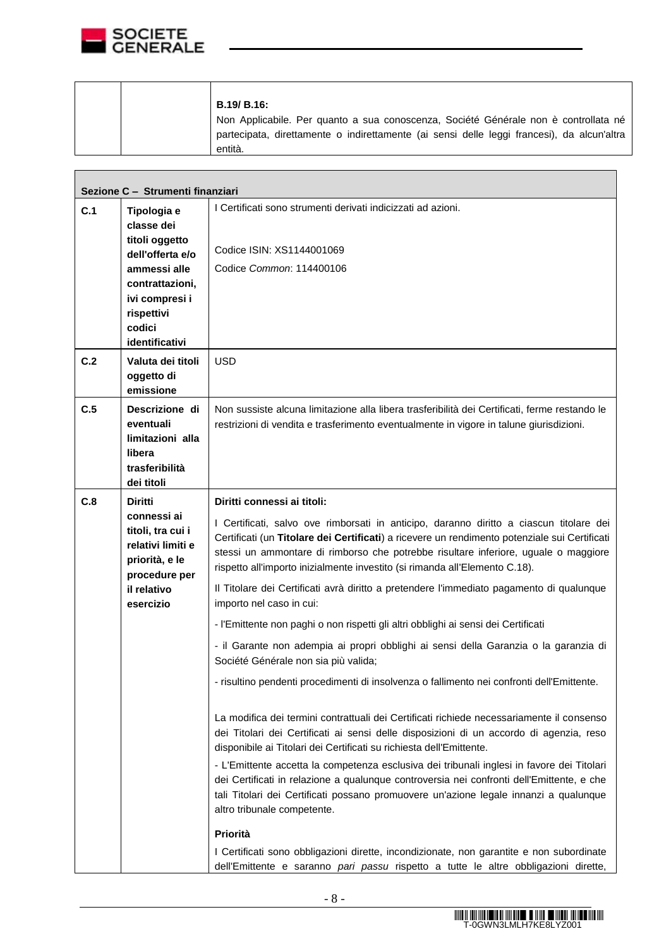

|     | Sezione C - Strumenti finanziari  |                                                                                                                                                                                                                                                                                                                 |  |  |  |  |  |
|-----|-----------------------------------|-----------------------------------------------------------------------------------------------------------------------------------------------------------------------------------------------------------------------------------------------------------------------------------------------------------------|--|--|--|--|--|
| C.1 | Tipologia e                       | I Certificati sono strumenti derivati indicizzati ad azioni.                                                                                                                                                                                                                                                    |  |  |  |  |  |
|     | classe dei                        |                                                                                                                                                                                                                                                                                                                 |  |  |  |  |  |
|     | titoli oggetto                    | Codice ISIN: XS1144001069                                                                                                                                                                                                                                                                                       |  |  |  |  |  |
|     | dell'offerta e/o                  |                                                                                                                                                                                                                                                                                                                 |  |  |  |  |  |
|     | ammessi alle                      | Codice Common: 114400106                                                                                                                                                                                                                                                                                        |  |  |  |  |  |
|     | contrattazioni,<br>ivi compresi i |                                                                                                                                                                                                                                                                                                                 |  |  |  |  |  |
|     | rispettivi                        |                                                                                                                                                                                                                                                                                                                 |  |  |  |  |  |
|     | codici                            |                                                                                                                                                                                                                                                                                                                 |  |  |  |  |  |
|     | identificativi                    |                                                                                                                                                                                                                                                                                                                 |  |  |  |  |  |
| C.2 | Valuta dei titoli                 | <b>USD</b>                                                                                                                                                                                                                                                                                                      |  |  |  |  |  |
|     | oggetto di                        |                                                                                                                                                                                                                                                                                                                 |  |  |  |  |  |
|     | emissione                         |                                                                                                                                                                                                                                                                                                                 |  |  |  |  |  |
| C.5 | Descrizione di                    | Non sussiste alcuna limitazione alla libera trasferibilità dei Certificati, ferme restando le                                                                                                                                                                                                                   |  |  |  |  |  |
|     | eventuali                         | restrizioni di vendita e trasferimento eventualmente in vigore in talune giurisdizioni.                                                                                                                                                                                                                         |  |  |  |  |  |
|     | limitazioni alla                  |                                                                                                                                                                                                                                                                                                                 |  |  |  |  |  |
|     | libera                            |                                                                                                                                                                                                                                                                                                                 |  |  |  |  |  |
|     | trasferibilità<br>dei titoli      |                                                                                                                                                                                                                                                                                                                 |  |  |  |  |  |
| C.8 | <b>Diritti</b>                    | Diritti connessi ai titoli:                                                                                                                                                                                                                                                                                     |  |  |  |  |  |
|     | connessi ai                       |                                                                                                                                                                                                                                                                                                                 |  |  |  |  |  |
|     | titoli, tra cui i                 | I Certificati, salvo ove rimborsati in anticipo, daranno diritto a ciascun titolare dei<br>Certificati (un Titolare dei Certificati) a ricevere un rendimento potenziale sui Certificati                                                                                                                        |  |  |  |  |  |
|     | relativi limiti e                 | stessi un ammontare di rimborso che potrebbe risultare inferiore, uguale o maggiore                                                                                                                                                                                                                             |  |  |  |  |  |
|     | priorità, e le                    | rispetto all'importo inizialmente investito (si rimanda all'Elemento C.18).                                                                                                                                                                                                                                     |  |  |  |  |  |
|     | procedure per<br>il relativo      | Il Titolare dei Certificati avrà diritto a pretendere l'immediato pagamento di qualunque                                                                                                                                                                                                                        |  |  |  |  |  |
|     | esercizio                         | importo nel caso in cui:                                                                                                                                                                                                                                                                                        |  |  |  |  |  |
|     |                                   | - l'Emittente non paghi o non rispetti gli altri obblighi ai sensi dei Certificati                                                                                                                                                                                                                              |  |  |  |  |  |
|     |                                   | - il Garante non adempia ai propri obblighi ai sensi della Garanzia o la garanzia di<br>Société Générale non sia più valida;                                                                                                                                                                                    |  |  |  |  |  |
|     |                                   | - risultino pendenti procedimenti di insolvenza o fallimento nei confronti dell'Emittente.                                                                                                                                                                                                                      |  |  |  |  |  |
|     |                                   | La modifica dei termini contrattuali dei Certificati richiede necessariamente il consenso<br>dei Titolari dei Certificati ai sensi delle disposizioni di un accordo di agenzia, reso<br>disponibile ai Titolari dei Certificati su richiesta dell'Emittente.                                                    |  |  |  |  |  |
|     |                                   | - L'Emittente accetta la competenza esclusiva dei tribunali inglesi in favore dei Titolari<br>dei Certificati in relazione a qualunque controversia nei confronti dell'Emittente, e che<br>tali Titolari dei Certificati possano promuovere un'azione legale innanzi a qualunque<br>altro tribunale competente. |  |  |  |  |  |
|     |                                   | Priorità                                                                                                                                                                                                                                                                                                        |  |  |  |  |  |
|     |                                   |                                                                                                                                                                                                                                                                                                                 |  |  |  |  |  |
|     |                                   | I Certificati sono obbligazioni dirette, incondizionate, non garantite e non subordinate<br>dell'Emittente e saranno pari passu rispetto a tutte le altre obbligazioni dirette,                                                                                                                                 |  |  |  |  |  |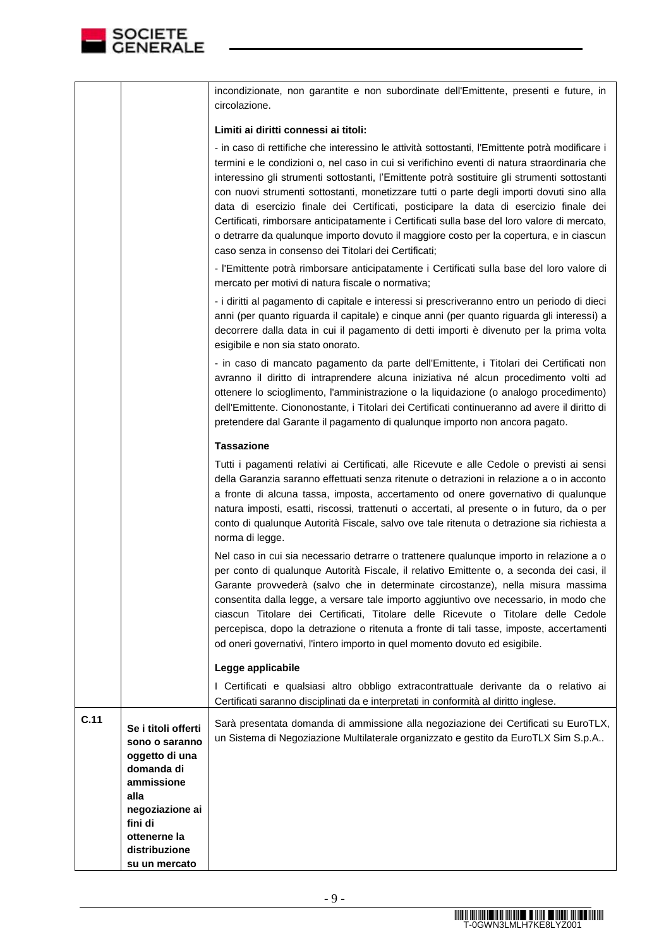

|      |                                                                                                                                                            | incondizionate, non garantite e non subordinate dell'Emittente, presenti e future, in<br>circolazione.                                                                                                                                                                                                                                                                                                                                                                                                                                                                                                                                                                                                                                    |
|------|------------------------------------------------------------------------------------------------------------------------------------------------------------|-------------------------------------------------------------------------------------------------------------------------------------------------------------------------------------------------------------------------------------------------------------------------------------------------------------------------------------------------------------------------------------------------------------------------------------------------------------------------------------------------------------------------------------------------------------------------------------------------------------------------------------------------------------------------------------------------------------------------------------------|
|      |                                                                                                                                                            | Limiti ai diritti connessi ai titoli:                                                                                                                                                                                                                                                                                                                                                                                                                                                                                                                                                                                                                                                                                                     |
|      |                                                                                                                                                            | - in caso di rettifiche che interessino le attività sottostanti, l'Emittente potrà modificare i<br>termini e le condizioni o, nel caso in cui si verifichino eventi di natura straordinaria che<br>interessino gli strumenti sottostanti, l'Emittente potrà sostituire gli strumenti sottostanti<br>con nuovi strumenti sottostanti, monetizzare tutti o parte degli importi dovuti sino alla<br>data di esercizio finale dei Certificati, posticipare la data di esercizio finale dei<br>Certificati, rimborsare anticipatamente i Certificati sulla base del loro valore di mercato,<br>o detrarre da qualunque importo dovuto il maggiore costo per la copertura, e in ciascun<br>caso senza in consenso dei Titolari dei Certificati; |
|      |                                                                                                                                                            | - l'Emittente potrà rimborsare anticipatamente i Certificati sulla base del loro valore di<br>mercato per motivi di natura fiscale o normativa;                                                                                                                                                                                                                                                                                                                                                                                                                                                                                                                                                                                           |
|      |                                                                                                                                                            | - i diritti al pagamento di capitale e interessi si prescriveranno entro un periodo di dieci<br>anni (per quanto riguarda il capitale) e cinque anni (per quanto riguarda gli interessi) a<br>decorrere dalla data in cui il pagamento di detti importi è divenuto per la prima volta<br>esigibile e non sia stato onorato.                                                                                                                                                                                                                                                                                                                                                                                                               |
|      |                                                                                                                                                            | - in caso di mancato pagamento da parte dell'Emittente, i Titolari dei Certificati non<br>avranno il diritto di intraprendere alcuna iniziativa né alcun procedimento volti ad<br>ottenere lo scioglimento, l'amministrazione o la liquidazione (o analogo procedimento)<br>dell'Emittente. Ciononostante, i Titolari dei Certificati continueranno ad avere il diritto di<br>pretendere dal Garante il pagamento di qualunque importo non ancora pagato.                                                                                                                                                                                                                                                                                 |
|      |                                                                                                                                                            | <b>Tassazione</b>                                                                                                                                                                                                                                                                                                                                                                                                                                                                                                                                                                                                                                                                                                                         |
|      |                                                                                                                                                            | Tutti i pagamenti relativi ai Certificati, alle Ricevute e alle Cedole o previsti ai sensi<br>della Garanzia saranno effettuati senza ritenute o detrazioni in relazione a o in acconto<br>a fronte di alcuna tassa, imposta, accertamento od onere governativo di qualunque<br>natura imposti, esatti, riscossi, trattenuti o accertati, al presente o in futuro, da o per<br>conto di qualunque Autorità Fiscale, salvo ove tale ritenuta o detrazione sia richiesta a<br>norma di legge.                                                                                                                                                                                                                                               |
|      |                                                                                                                                                            | Nel caso in cui sia necessario detrarre o trattenere qualunque importo in relazione a o<br>per conto di qualunque Autorità Fiscale, il relativo Emittente o, a seconda dei casi, il<br>Garante provvederà (salvo che in determinate circostanze), nella misura massima<br>consentita dalla legge, a versare tale importo aggiuntivo ove necessario, in modo che<br>ciascun Titolare dei Certificati, Titolare delle Ricevute o Titolare delle Cedole<br>percepisca, dopo la detrazione o ritenuta a fronte di tali tasse, imposte, accertamenti<br>od oneri governativi, l'intero importo in quel momento dovuto ed esigibile.                                                                                                            |
|      |                                                                                                                                                            | Legge applicabile                                                                                                                                                                                                                                                                                                                                                                                                                                                                                                                                                                                                                                                                                                                         |
|      |                                                                                                                                                            | I Certificati e qualsiasi altro obbligo extracontrattuale derivante da o relativo ai<br>Certificati saranno disciplinati da e interpretati in conformità al diritto inglese.                                                                                                                                                                                                                                                                                                                                                                                                                                                                                                                                                              |
| C.11 | Se i titoli offerti<br>sono o saranno<br>oggetto di una<br>domanda di<br>ammissione<br>alla<br>negoziazione ai<br>fini di<br>ottenerne la<br>distribuzione | Sarà presentata domanda di ammissione alla negoziazione dei Certificati su EuroTLX,<br>un Sistema di Negoziazione Multilaterale organizzato e gestito da EuroTLX Sim S.p.A                                                                                                                                                                                                                                                                                                                                                                                                                                                                                                                                                                |
|      | su un mercato                                                                                                                                              |                                                                                                                                                                                                                                                                                                                                                                                                                                                                                                                                                                                                                                                                                                                                           |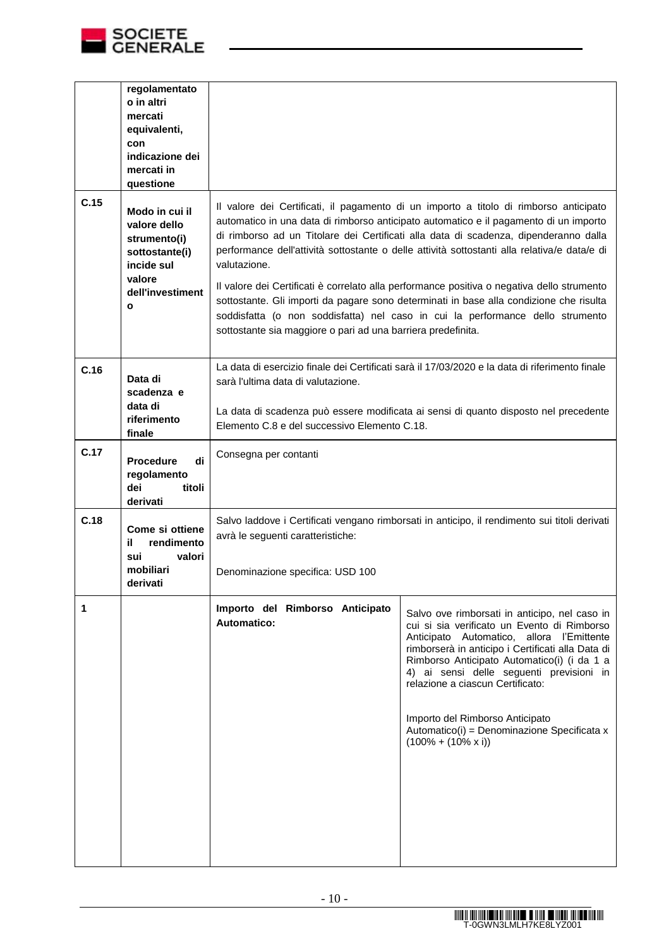

|      | regolamentato<br>o in altri<br>mercati<br>equivalenti,<br>con<br>indicazione dei<br>mercati in<br>questione                  |                                                                                                                                                                                                                                                                                                                                                                                                                                                                                                                                                                                                                                                                                                                                   |                                                                                                                                                                                                                                                                                                                                                                                                                                                |  |
|------|------------------------------------------------------------------------------------------------------------------------------|-----------------------------------------------------------------------------------------------------------------------------------------------------------------------------------------------------------------------------------------------------------------------------------------------------------------------------------------------------------------------------------------------------------------------------------------------------------------------------------------------------------------------------------------------------------------------------------------------------------------------------------------------------------------------------------------------------------------------------------|------------------------------------------------------------------------------------------------------------------------------------------------------------------------------------------------------------------------------------------------------------------------------------------------------------------------------------------------------------------------------------------------------------------------------------------------|--|
| C.15 | Modo in cui il<br>valore dello<br>strumento(i)<br>sottostante(i)<br>incide sul<br>valore<br>dell'investiment<br>$\mathbf{o}$ | Il valore dei Certificati, il pagamento di un importo a titolo di rimborso anticipato<br>automatico in una data di rimborso anticipato automatico e il pagamento di un importo<br>di rimborso ad un Titolare dei Certificati alla data di scadenza, dipenderanno dalla<br>performance dell'attività sottostante o delle attività sottostanti alla relativa/e data/e di<br>valutazione.<br>Il valore dei Certificati è correlato alla performance positiva o negativa dello strumento<br>sottostante. Gli importi da pagare sono determinati in base alla condizione che risulta<br>soddisfatta (o non soddisfatta) nel caso in cui la performance dello strumento<br>sottostante sia maggiore o pari ad una barriera predefinita. |                                                                                                                                                                                                                                                                                                                                                                                                                                                |  |
| C.16 | Data di<br>scadenza e<br>data di<br>riferimento<br>finale                                                                    | La data di esercizio finale dei Certificati sarà il 17/03/2020 e la data di riferimento finale<br>sarà l'ultima data di valutazione.<br>La data di scadenza può essere modificata ai sensi di quanto disposto nel precedente<br>Elemento C.8 e del successivo Elemento C.18.                                                                                                                                                                                                                                                                                                                                                                                                                                                      |                                                                                                                                                                                                                                                                                                                                                                                                                                                |  |
| C.17 | di<br><b>Procedure</b><br>regolamento<br>dei<br>titoli<br>derivati                                                           | Consegna per contanti                                                                                                                                                                                                                                                                                                                                                                                                                                                                                                                                                                                                                                                                                                             |                                                                                                                                                                                                                                                                                                                                                                                                                                                |  |
| C.18 | Come si ottiene<br>rendimento<br>il<br>valori<br>sui<br>mobiliari<br>derivati                                                | Salvo laddove i Certificati vengano rimborsati in anticipo, il rendimento sui titoli derivati<br>avrà le seguenti caratteristiche:<br>Denominazione specifica: USD 100                                                                                                                                                                                                                                                                                                                                                                                                                                                                                                                                                            |                                                                                                                                                                                                                                                                                                                                                                                                                                                |  |
| 1    |                                                                                                                              | Importo del Rimborso Anticipato<br><b>Automatico:</b>                                                                                                                                                                                                                                                                                                                                                                                                                                                                                                                                                                                                                                                                             | Salvo ove rimborsati in anticipo, nel caso in<br>cui si sia verificato un Evento di Rimborso<br>Anticipato Automatico, allora l'Emittente<br>rimborserà in anticipo i Certificati alla Data di<br>Rimborso Anticipato Automatico(i) (i da 1 a<br>4) ai sensi delle seguenti previsioni in<br>relazione a ciascun Certificato:<br>Importo del Rimborso Anticipato<br>Automatico(i) = Denominazione Specificata x<br>$(100\% + (10\% \times i))$ |  |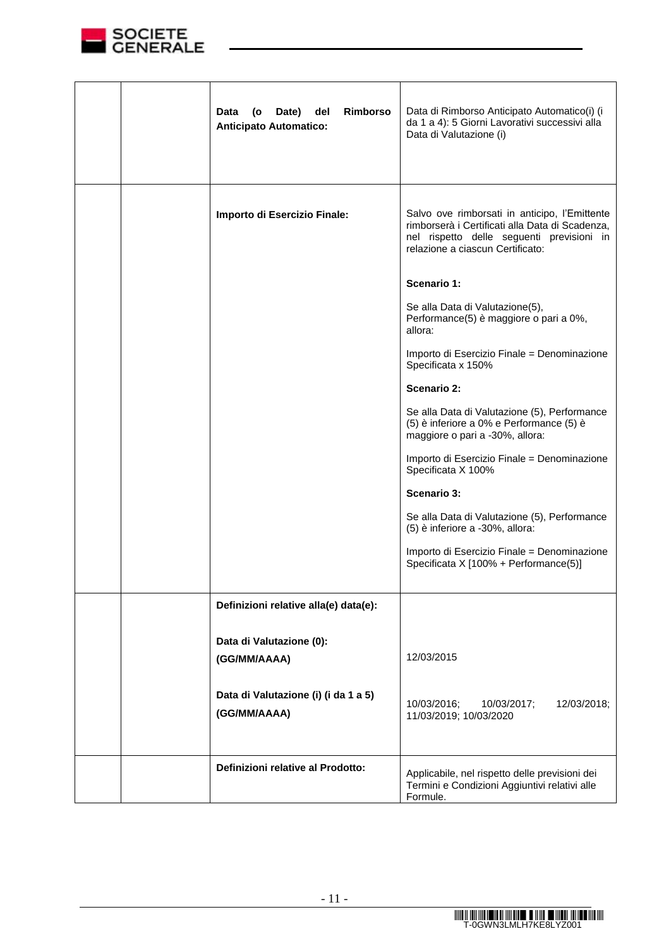

|  | <b>Rimborso</b><br>Date)<br>del<br>Data<br>(o<br><b>Anticipato Automatico:</b> | Data di Rimborso Anticipato Automatico(i) (i<br>da 1 a 4): 5 Giorni Lavorativi successivi alla<br>Data di Valutazione (i)                                                         |
|--|--------------------------------------------------------------------------------|-----------------------------------------------------------------------------------------------------------------------------------------------------------------------------------|
|  | Importo di Esercizio Finale:                                                   | Salvo ove rimborsati in anticipo, l'Emittente<br>rimborserà i Certificati alla Data di Scadenza,<br>nel rispetto delle seguenti previsioni in<br>relazione a ciascun Certificato: |
|  |                                                                                | Scenario 1:                                                                                                                                                                       |
|  |                                                                                | Se alla Data di Valutazione(5),<br>Performance(5) è maggiore o pari a 0%,<br>allora:                                                                                              |
|  |                                                                                | Importo di Esercizio Finale = Denominazione<br>Specificata x 150%                                                                                                                 |
|  |                                                                                | <b>Scenario 2:</b>                                                                                                                                                                |
|  |                                                                                | Se alla Data di Valutazione (5), Performance<br>(5) è inferiore a 0% e Performance (5) è<br>maggiore o pari a -30%, allora:                                                       |
|  |                                                                                | Importo di Esercizio Finale = Denominazione<br>Specificata X 100%                                                                                                                 |
|  |                                                                                | <b>Scenario 3:</b>                                                                                                                                                                |
|  |                                                                                | Se alla Data di Valutazione (5), Performance<br>(5) è inferiore a -30%, allora:                                                                                                   |
|  |                                                                                | Importo di Esercizio Finale = Denominazione<br>Specificata X [100% + Performance(5)]                                                                                              |
|  | Definizioni relative alla(e) data(e):                                          |                                                                                                                                                                                   |
|  | Data di Valutazione (0):                                                       |                                                                                                                                                                                   |
|  | (GG/MM/AAAA)                                                                   | 12/03/2015                                                                                                                                                                        |
|  | Data di Valutazione (i) (i da 1 a 5)<br>(GG/MM/AAAA)                           | 10/03/2016;<br>12/03/2018;<br>10/03/2017;<br>11/03/2019; 10/03/2020                                                                                                               |
|  | Definizioni relative al Prodotto:                                              | Applicabile, nel rispetto delle previsioni dei<br>Termini e Condizioni Aggiuntivi relativi alle<br>Formule.                                                                       |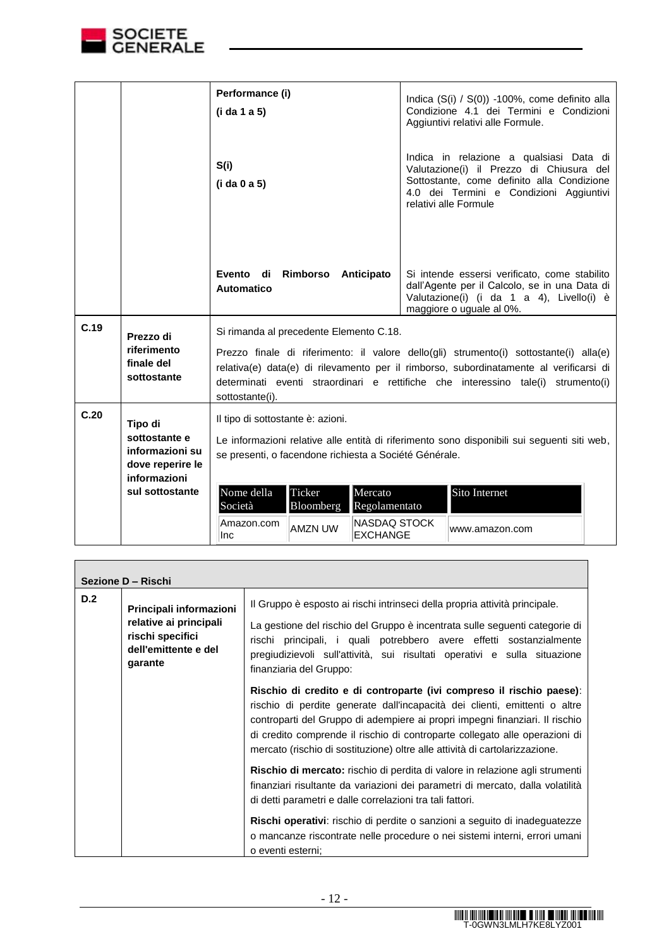

.

|      |                                                                                                                                                                                                                                                                                                                                                                                              | Performance (i)<br>(i da 1 a 5)                                                                                                                                                            |                     |                                 |  | Indica $(S(i) / S(0))$ -100%, come definito alla<br>Condizione 4.1 dei Termini e Condizioni<br>Aggiuntivi relativi alle Formule.                                                                      |  |
|------|----------------------------------------------------------------------------------------------------------------------------------------------------------------------------------------------------------------------------------------------------------------------------------------------------------------------------------------------------------------------------------------------|--------------------------------------------------------------------------------------------------------------------------------------------------------------------------------------------|---------------------|---------------------------------|--|-------------------------------------------------------------------------------------------------------------------------------------------------------------------------------------------------------|--|
|      |                                                                                                                                                                                                                                                                                                                                                                                              | S(i)<br>(i da 0 a 5)                                                                                                                                                                       |                     |                                 |  | Indica in relazione a qualsiasi Data di<br>Valutazione(i) il Prezzo di Chiusura del<br>Sottostante, come definito alla Condizione<br>4.0 dei Termini e Condizioni Aggiuntivi<br>relativi alle Formule |  |
|      |                                                                                                                                                                                                                                                                                                                                                                                              | Evento di Rimborso Anticipato<br>Automatico                                                                                                                                                |                     |                                 |  | Si intende essersi verificato, come stabilito<br>dall'Agente per il Calcolo, se in una Data di<br>Valutazione(i) (i da 1 a 4), Livello(i) è<br>maggiore o uguale al 0%.                               |  |
| C.19 | Si rimanda al precedente Elemento C.18.<br>Prezzo di<br>riferimento<br>Prezzo finale di riferimento: il valore dello(gli) strumento(i) sottostante(i) alla(e)<br>finale del<br>relativa(e) data(e) di rilevamento per il rimborso, subordinatamente al verificarsi di<br>sottostante<br>determinati eventi straordinari e rettifiche che interessino tale(i) strumento(i)<br>sottostante(i). |                                                                                                                                                                                            |                     |                                 |  |                                                                                                                                                                                                       |  |
|      |                                                                                                                                                                                                                                                                                                                                                                                              |                                                                                                                                                                                            |                     |                                 |  |                                                                                                                                                                                                       |  |
| C.20 | Tipo di                                                                                                                                                                                                                                                                                                                                                                                      | Il tipo di sottostante è: azioni.<br>Le informazioni relative alle entità di riferimento sono disponibili sui seguenti siti web,<br>se presenti, o facendone richiesta a Société Générale. |                     |                                 |  |                                                                                                                                                                                                       |  |
|      | sottostante e<br>informazioni su<br>dove reperire le<br>informazioni                                                                                                                                                                                                                                                                                                                         |                                                                                                                                                                                            |                     |                                 |  |                                                                                                                                                                                                       |  |
|      | sul sottostante                                                                                                                                                                                                                                                                                                                                                                              | Nome della<br>Società                                                                                                                                                                      | Ticker<br>Bloomberg | Mercato<br>Regolamentato        |  | Sito Internet                                                                                                                                                                                         |  |
|      |                                                                                                                                                                                                                                                                                                                                                                                              | Amazon.com<br>Inc                                                                                                                                                                          | <b>AMZN UW</b>      | NASDAQ STOCK<br><b>EXCHANGE</b> |  | www.amazon.com                                                                                                                                                                                        |  |

| Sezione D - Rischi                 |                                                                           |                                                                                                                                                                                                                                                                                                                                                                                                  |  |  |
|------------------------------------|---------------------------------------------------------------------------|--------------------------------------------------------------------------------------------------------------------------------------------------------------------------------------------------------------------------------------------------------------------------------------------------------------------------------------------------------------------------------------------------|--|--|
| D.2<br>rischi specifici<br>garante | Principali informazioni<br>relative ai principali<br>dell'emittente e del | Il Gruppo è esposto ai rischi intrinseci della propria attività principale.<br>La gestione del rischio del Gruppo è incentrata sulle seguenti categorie di<br>rischi principali, i quali potrebbero avere effetti sostanzialmente<br>pregiudizievoli sull'attività, sui risultati operativi e sulla situazione<br>finanziaria del Gruppo:                                                        |  |  |
|                                    |                                                                           | Rischio di credito e di controparte (ivi compreso il rischio paese):<br>rischio di perdite generate dall'incapacità dei clienti, emittenti o altre<br>controparti del Gruppo di adempiere ai propri impegni finanziari. Il rischio<br>di credito comprende il rischio di controparte collegato alle operazioni di<br>mercato (rischio di sostituzione) oltre alle attività di cartolarizzazione. |  |  |
|                                    |                                                                           | Rischio di mercato: rischio di perdita di valore in relazione agli strumenti<br>finanziari risultante da variazioni dei parametri di mercato, dalla volatilità<br>di detti parametri e dalle correlazioni tra tali fattori.                                                                                                                                                                      |  |  |
|                                    |                                                                           | Rischi operativi: rischio di perdite o sanzioni a seguito di inadeguatezze<br>o mancanze riscontrate nelle procedure o nei sistemi interni, errori umani<br>o eventi esterni;                                                                                                                                                                                                                    |  |  |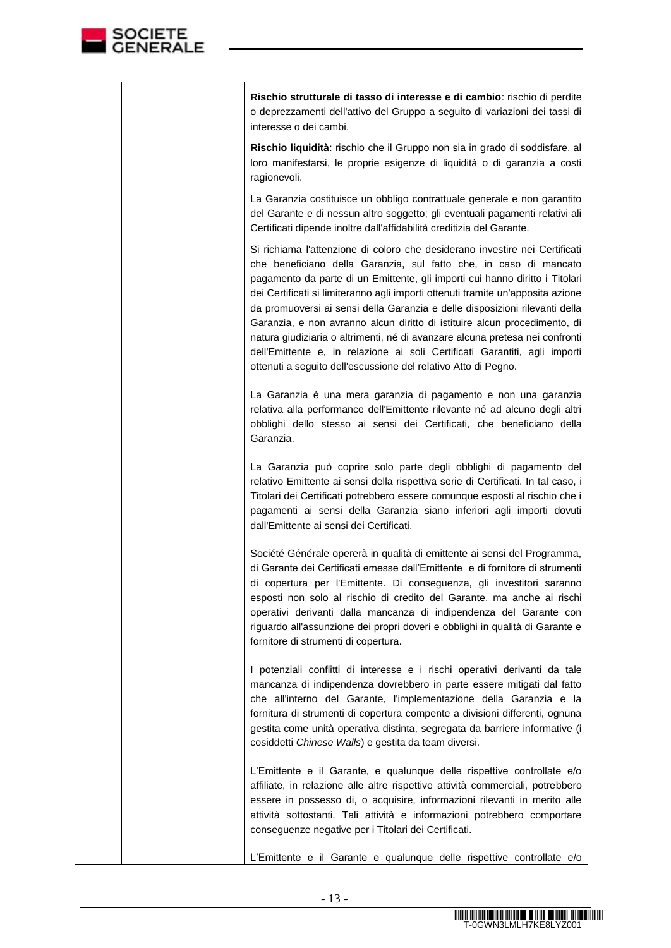

|  | Rischio strutturale di tasso di interesse e di cambio: rischio di perdite<br>o deprezzamenti dell'attivo del Gruppo a seguito di variazioni dei tassi di<br>interesse o dei cambi.                                                                                                                                                                                                                                                                                                                                                                                                                                                                                                                              |
|--|-----------------------------------------------------------------------------------------------------------------------------------------------------------------------------------------------------------------------------------------------------------------------------------------------------------------------------------------------------------------------------------------------------------------------------------------------------------------------------------------------------------------------------------------------------------------------------------------------------------------------------------------------------------------------------------------------------------------|
|  | Rischio liquidità: rischio che il Gruppo non sia in grado di soddisfare, al<br>loro manifestarsi, le proprie esigenze di liquidità o di garanzia a costi<br>ragionevoli.                                                                                                                                                                                                                                                                                                                                                                                                                                                                                                                                        |
|  | La Garanzia costituisce un obbligo contrattuale generale e non garantito<br>del Garante e di nessun altro soggetto; gli eventuali pagamenti relativi ali<br>Certificati dipende inoltre dall'affidabilità creditizia del Garante.                                                                                                                                                                                                                                                                                                                                                                                                                                                                               |
|  | Si richiama l'attenzione di coloro che desiderano investire nei Certificati<br>che beneficiano della Garanzia, sul fatto che, in caso di mancato<br>pagamento da parte di un Emittente, gli importi cui hanno diritto i Titolari<br>dei Certificati si limiteranno agli importi ottenuti tramite un'apposita azione<br>da promuoversi ai sensi della Garanzia e delle disposizioni rilevanti della<br>Garanzia, e non avranno alcun diritto di istituire alcun procedimento, di<br>natura giudiziaria o altrimenti, né di avanzare alcuna pretesa nei confronti<br>dell'Emittente e, in relazione ai soli Certificati Garantiti, agli importi<br>ottenuti a seguito dell'escussione del relativo Atto di Pegno. |
|  | La Garanzia è una mera garanzia di pagamento e non una garanzia<br>relativa alla performance dell'Emittente rilevante né ad alcuno degli altri<br>obblighi dello stesso ai sensi dei Certificati, che beneficiano della<br>Garanzia.                                                                                                                                                                                                                                                                                                                                                                                                                                                                            |
|  | La Garanzia può coprire solo parte degli obblighi di pagamento del<br>relativo Emittente ai sensi della rispettiva serie di Certificati. In tal caso, i<br>Titolari dei Certificati potrebbero essere comunque esposti al rischio che i<br>pagamenti ai sensi della Garanzia siano inferiori agli importi dovuti<br>dall'Emittente ai sensi dei Certificati.                                                                                                                                                                                                                                                                                                                                                    |
|  | Société Générale opererà in qualità di emittente ai sensi del Programma,<br>di Garante dei Certificati emesse dall'Emittente e di fornitore di strumenti<br>di copertura per l'Emittente. Di conseguenza, gli investitori saranno<br>esposti non solo al rischio di credito del Garante, ma anche ai rischi<br>operativi derivanti dalla mancanza di indipendenza del Garante con<br>riguardo all'assunzione dei propri doveri e obblighi in qualità di Garante e<br>fornitore di strumenti di copertura.                                                                                                                                                                                                       |
|  | I potenziali conflitti di interesse e i rischi operativi derivanti da tale<br>mancanza di indipendenza dovrebbero in parte essere mitigati dal fatto<br>che all'interno del Garante, l'implementazione della Garanzia e la<br>fornitura di strumenti di copertura compente a divisioni differenti, ognuna<br>gestita come unità operativa distinta, segregata da barriere informative (i<br>cosiddetti Chinese Walls) e gestita da team diversi.                                                                                                                                                                                                                                                                |
|  | L'Emittente e il Garante, e qualunque delle rispettive controllate e/o<br>affiliate, in relazione alle altre rispettive attività commerciali, potrebbero<br>essere in possesso di, o acquisire, informazioni rilevanti in merito alle<br>attività sottostanti. Tali attività e informazioni potrebbero comportare<br>conseguenze negative per i Titolari dei Certificati.                                                                                                                                                                                                                                                                                                                                       |
|  | L'Emittente e il Garante e qualunque delle rispettive controllate e/o                                                                                                                                                                                                                                                                                                                                                                                                                                                                                                                                                                                                                                           |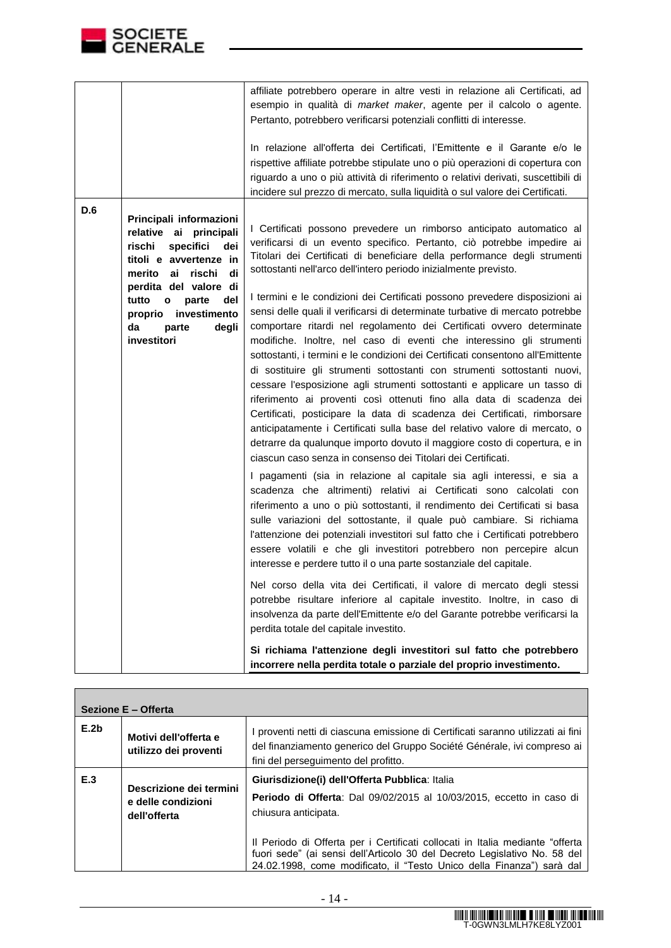

**I** 

|     |                                                                                                                                                                                                                                                                      | affiliate potrebbero operare in altre vesti in relazione ali Certificati, ad<br>esempio in qualità di market maker, agente per il calcolo o agente.<br>Pertanto, potrebbero verificarsi potenziali conflitti di interesse.<br>In relazione all'offerta dei Certificati, l'Emittente e il Garante e/o le<br>rispettive affiliate potrebbe stipulate uno o più operazioni di copertura con<br>riguardo a uno o più attività di riferimento o relativi derivati, suscettibili di<br>incidere sul prezzo di mercato, sulla liquidità o sul valore dei Certificati.                                                                                                                                                                                                                                                                                                                                                                                                                                                                                                                                                                                                                                                                                                                                                                                                                                                                                                                                                                                                                                                                                                                                                                                                                                                                                                                                                                                                                                                                                                                                                                                                                                               |
|-----|----------------------------------------------------------------------------------------------------------------------------------------------------------------------------------------------------------------------------------------------------------------------|--------------------------------------------------------------------------------------------------------------------------------------------------------------------------------------------------------------------------------------------------------------------------------------------------------------------------------------------------------------------------------------------------------------------------------------------------------------------------------------------------------------------------------------------------------------------------------------------------------------------------------------------------------------------------------------------------------------------------------------------------------------------------------------------------------------------------------------------------------------------------------------------------------------------------------------------------------------------------------------------------------------------------------------------------------------------------------------------------------------------------------------------------------------------------------------------------------------------------------------------------------------------------------------------------------------------------------------------------------------------------------------------------------------------------------------------------------------------------------------------------------------------------------------------------------------------------------------------------------------------------------------------------------------------------------------------------------------------------------------------------------------------------------------------------------------------------------------------------------------------------------------------------------------------------------------------------------------------------------------------------------------------------------------------------------------------------------------------------------------------------------------------------------------------------------------------------------------|
| D.6 | Principali informazioni<br>relative ai principali<br>rischi<br>specifici<br>dei<br>titoli e avvertenze in<br>merito ai rischi<br>di<br>perdita del valore di<br>tutto<br>parte<br>del<br>$\bullet$<br>investimento<br>proprio<br>da<br>degli<br>parte<br>investitori | I Certificati possono prevedere un rimborso anticipato automatico al<br>verificarsi di un evento specifico. Pertanto, ciò potrebbe impedire ai<br>Titolari dei Certificati di beneficiare della performance degli strumenti<br>sottostanti nell'arco dell'intero periodo inizialmente previsto.<br>I termini e le condizioni dei Certificati possono prevedere disposizioni ai<br>sensi delle quali il verificarsi di determinate turbative di mercato potrebbe<br>comportare ritardi nel regolamento dei Certificati ovvero determinate<br>modifiche. Inoltre, nel caso di eventi che interessino gli strumenti<br>sottostanti, i termini e le condizioni dei Certificati consentono all'Emittente<br>di sostituire gli strumenti sottostanti con strumenti sottostanti nuovi,<br>cessare l'esposizione agli strumenti sottostanti e applicare un tasso di<br>riferimento ai proventi così ottenuti fino alla data di scadenza dei<br>Certificati, posticipare la data di scadenza dei Certificati, rimborsare<br>anticipatamente i Certificati sulla base del relativo valore di mercato, o<br>detrarre da qualunque importo dovuto il maggiore costo di copertura, e in<br>ciascun caso senza in consenso dei Titolari dei Certificati.<br>I pagamenti (sia in relazione al capitale sia agli interessi, e sia a<br>scadenza che altrimenti) relativi ai Certificati sono calcolati con<br>riferimento a uno o più sottostanti, il rendimento dei Certificati si basa<br>sulle variazioni del sottostante, il quale può cambiare. Si richiama<br>l'attenzione dei potenziali investitori sul fatto che i Certificati potrebbero<br>essere volatili e che gli investitori potrebbero non percepire alcun<br>interesse e perdere tutto il o una parte sostanziale del capitale.<br>Nel corso della vita dei Certificati, il valore di mercato degli stessi<br>potrebbe risultare inferiore al capitale investito. Inoltre, in caso di<br>insolvenza da parte dell'Emittente e/o del Garante potrebbe verificarsi la<br>perdita totale del capitale investito.<br>Si richiama l'attenzione degli investitori sul fatto che potrebbero<br>incorrere nella perdita totale o parziale del proprio investimento. |

| Sezione E - Offerta |                                                               |                                                                                                                                                                                                                                                                                                                                                                                        |  |  |
|---------------------|---------------------------------------------------------------|----------------------------------------------------------------------------------------------------------------------------------------------------------------------------------------------------------------------------------------------------------------------------------------------------------------------------------------------------------------------------------------|--|--|
| E.2 <sub>b</sub>    | Motivi dell'offerta e<br>utilizzo dei proventi                | I proventi netti di ciascuna emissione di Certificati saranno utilizzati ai fini<br>del finanziamento generico del Gruppo Société Générale, ivi compreso ai<br>fini del perseguimento del profitto.                                                                                                                                                                                    |  |  |
| E.3                 | Descrizione dei termini<br>e delle condizioni<br>dell'offerta | Giurisdizione(i) dell'Offerta Pubblica: Italia<br>Periodo di Offerta: Dal 09/02/2015 al 10/03/2015, eccetto in caso di<br>chiusura anticipata.<br>Il Periodo di Offerta per i Certificati collocati in Italia mediante "offerta"<br>fuori sede" (ai sensi dell'Articolo 30 del Decreto Legislativo No. 58 del<br>24.02.1998, come modificato, il "Testo Unico della Finanza") sarà dal |  |  |